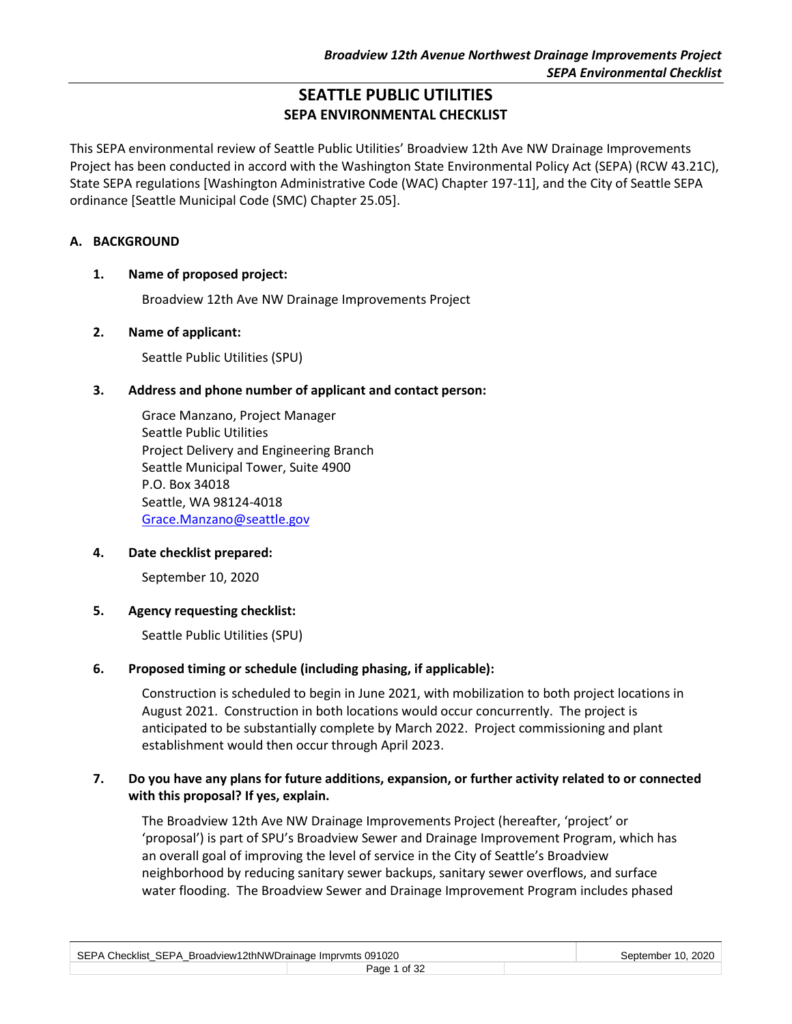# **SEATTLE PUBLIC UTILITIES SEPA ENVIRONMENTAL CHECKLIST**

This SEPA environmental review of Seattle Public Utilities' Broadview 12th Ave NW Drainage Improvements Project has been conducted in accord with the Washington State Environmental Policy Act (SEPA) (RCW 43.21C), State SEPA regulations [Washington Administrative Code (WAC) Chapter 197-11], and the City of Seattle SEPA ordinance [Seattle Municipal Code (SMC) Chapter 25.05].

## **A. BACKGROUND**

## **1. Name of proposed project:**

Broadview 12th Ave NW Drainage Improvements Project

## **2. Name of applicant:**

Seattle Public Utilities (SPU)

#### **3. Address and phone number of applicant and contact person:**

Grace Manzano, Project Manager Seattle Public Utilities Project Delivery and Engineering Branch Seattle Municipal Tower, Suite 4900 P.O. Box 34018 Seattle, WA 98124-4018 [Grace.Manzano@seattle.gov](mailto:Grace.Manzano@seattle.gov)

#### **4. Date checklist prepared:**

September 10, 2020

#### **5. Agency requesting checklist:**

Seattle Public Utilities (SPU)

## **6. Proposed timing or schedule (including phasing, if applicable):**

Construction is scheduled to begin in June 2021, with mobilization to both project locations in August 2021. Construction in both locations would occur concurrently. The project is anticipated to be substantially complete by March 2022. Project commissioning and plant establishment would then occur through April 2023.

## **7. Do you have any plans for future additions, expansion, or further activity related to or connected with this proposal? If yes, explain.**

The Broadview 12th Ave NW Drainage Improvements Project (hereafter, 'project' or 'proposal') is part of SPU's Broadview Sewer and Drainage Improvement Program, which has an overall goal of improving the level of service in the City of Seattle's Broadview neighborhood by reducing sanitary sewer backups, sanitary sewer overflows, and surface water flooding. The Broadview Sewer and Drainage Improvement Program includes phased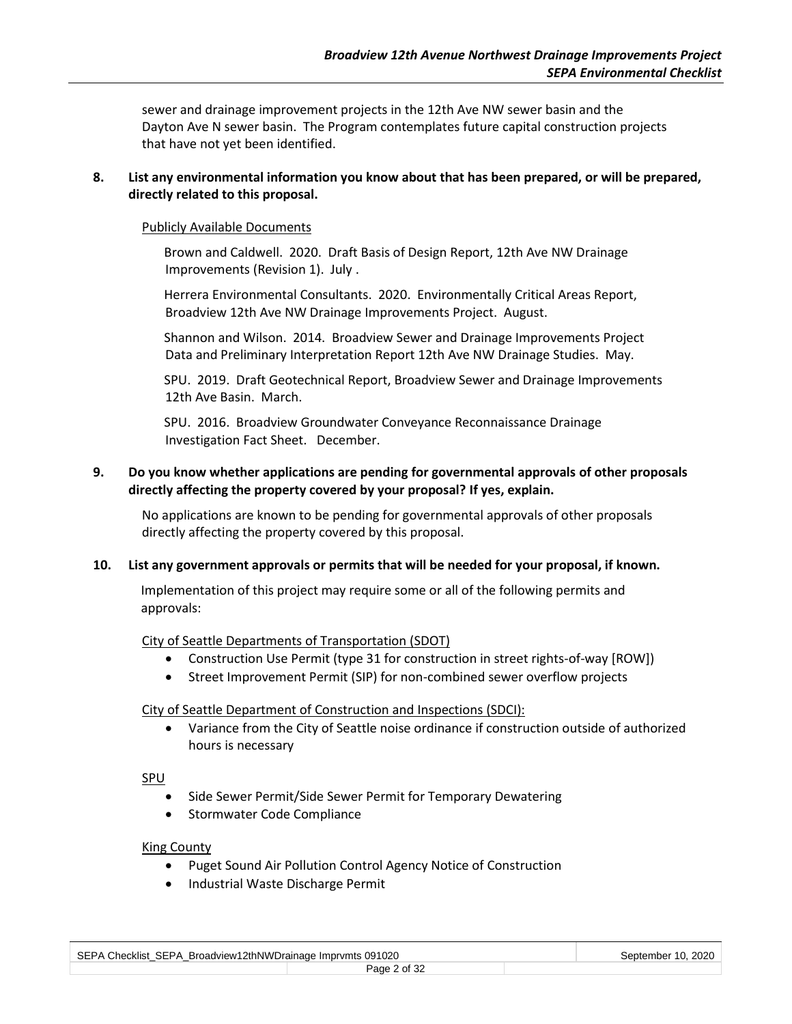sewer and drainage improvement projects in the 12th Ave NW sewer basin and the Dayton Ave N sewer basin. The Program contemplates future capital construction projects that have not yet been identified.

#### **8. List any environmental information you know about that has been prepared, or will be prepared, directly related to this proposal.**

#### Publicly Available Documents

Brown and Caldwell. 2020. Draft Basis of Design Report, 12th Ave NW Drainage Improvements (Revision 1). July .

Herrera Environmental Consultants. 2020. Environmentally Critical Areas Report, Broadview 12th Ave NW Drainage Improvements Project. August.

Shannon and Wilson. 2014. Broadview Sewer and Drainage Improvements Project Data and Preliminary Interpretation Report 12th Ave NW Drainage Studies. May.

SPU. 2019. Draft Geotechnical Report, Broadview Sewer and Drainage Improvements 12th Ave Basin. March.

SPU. 2016. Broadview Groundwater Conveyance Reconnaissance Drainage Investigation Fact Sheet. December.

#### **9. Do you know whether applications are pending for governmental approvals of other proposals directly affecting the property covered by your proposal? If yes, explain.**

No applications are known to be pending for governmental approvals of other proposals directly affecting the property covered by this proposal.

#### **10. List any government approvals or permits that will be needed for your proposal, if known.**

Implementation of this project may require some or all of the following permits and approvals:

#### City of Seattle Departments of Transportation (SDOT)

- Construction Use Permit (type 31 for construction in street rights-of-way [ROW])
- Street Improvement Permit (SIP) for non-combined sewer overflow projects

City of Seattle Department of Construction and Inspections (SDCI):

• Variance from the City of Seattle noise ordinance if construction outside of authorized hours is necessary

SPU

- Side Sewer Permit/Side Sewer Permit for Temporary Dewatering
- Stormwater Code Compliance

#### King County

- Puget Sound Air Pollution Control Agency Notice of Construction
- Industrial Waste Discharge Permit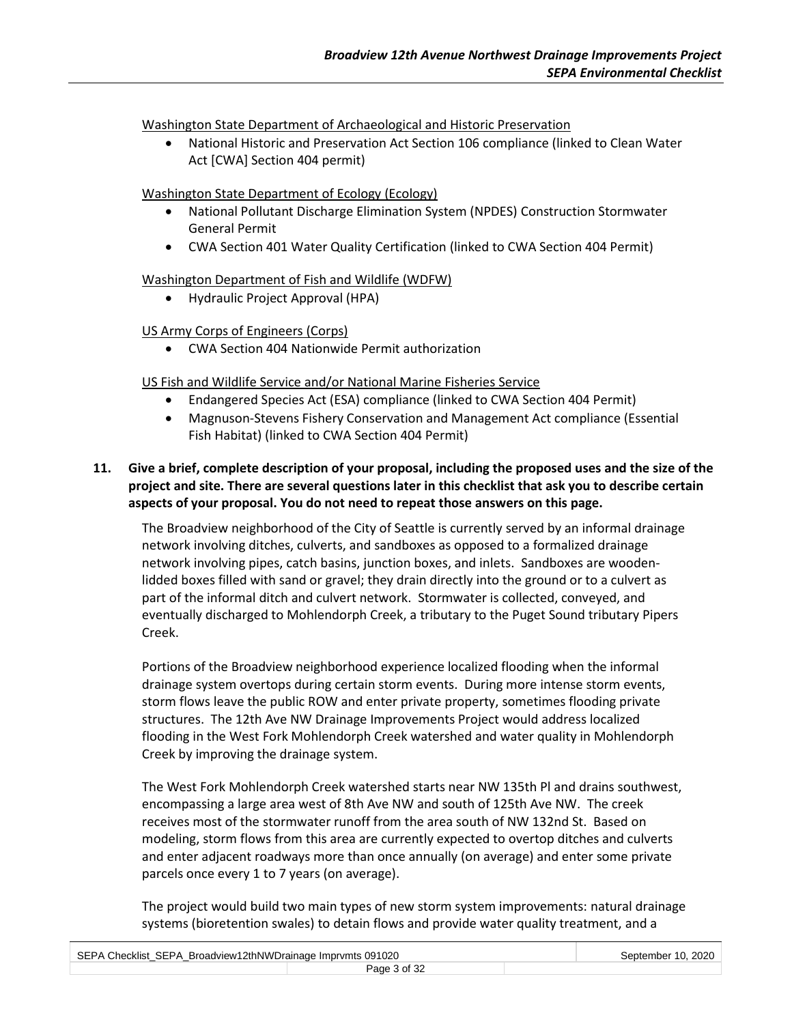Washington State Department of Archaeological and Historic Preservation

• National Historic and Preservation Act Section 106 compliance (linked to Clean Water Act [CWA] Section 404 permit)

## Washington State Department of Ecology (Ecology)

- National Pollutant Discharge Elimination System (NPDES) Construction Stormwater General Permit
- CWA Section 401 Water Quality Certification (linked to CWA Section 404 Permit)

## Washington Department of Fish and Wildlife (WDFW)

• Hydraulic Project Approval (HPA)

## US Army Corps of Engineers (Corps)

• CWA Section 404 Nationwide Permit authorization

## US Fish and Wildlife Service and/or National Marine Fisheries Service

- Endangered Species Act (ESA) compliance (linked to CWA Section 404 Permit)
- Magnuson-Stevens Fishery Conservation and Management Act compliance (Essential Fish Habitat) (linked to CWA Section 404 Permit)
- **11. Give a brief, complete description of your proposal, including the proposed uses and the size of the project and site. There are several questions later in this checklist that ask you to describe certain aspects of your proposal. You do not need to repeat those answers on this page.**

The Broadview neighborhood of the City of Seattle is currently served by an informal drainage network involving ditches, culverts, and sandboxes as opposed to a formalized drainage network involving pipes, catch basins, junction boxes, and inlets. Sandboxes are woodenlidded boxes filled with sand or gravel; they drain directly into the ground or to a culvert as part of the informal ditch and culvert network. Stormwater is collected, conveyed, and eventually discharged to Mohlendorph Creek, a tributary to the Puget Sound tributary Pipers Creek.

Portions of the Broadview neighborhood experience localized flooding when the informal drainage system overtops during certain storm events. During more intense storm events, storm flows leave the public ROW and enter private property, sometimes flooding private structures. The 12th Ave NW Drainage Improvements Project would address localized flooding in the West Fork Mohlendorph Creek watershed and water quality in Mohlendorph Creek by improving the drainage system.

The West Fork Mohlendorph Creek watershed starts near NW 135th Pl and drains southwest, encompassing a large area west of 8th Ave NW and south of 125th Ave NW. The creek receives most of the stormwater runoff from the area south of NW 132nd St. Based on modeling, storm flows from this area are currently expected to overtop ditches and culverts and enter adjacent roadways more than once annually (on average) and enter some private parcels once every 1 to 7 years (on average).

The project would build two main types of new storm system improvements: natural drainage systems (bioretention swales) to detain flows and provide water quality treatment, and a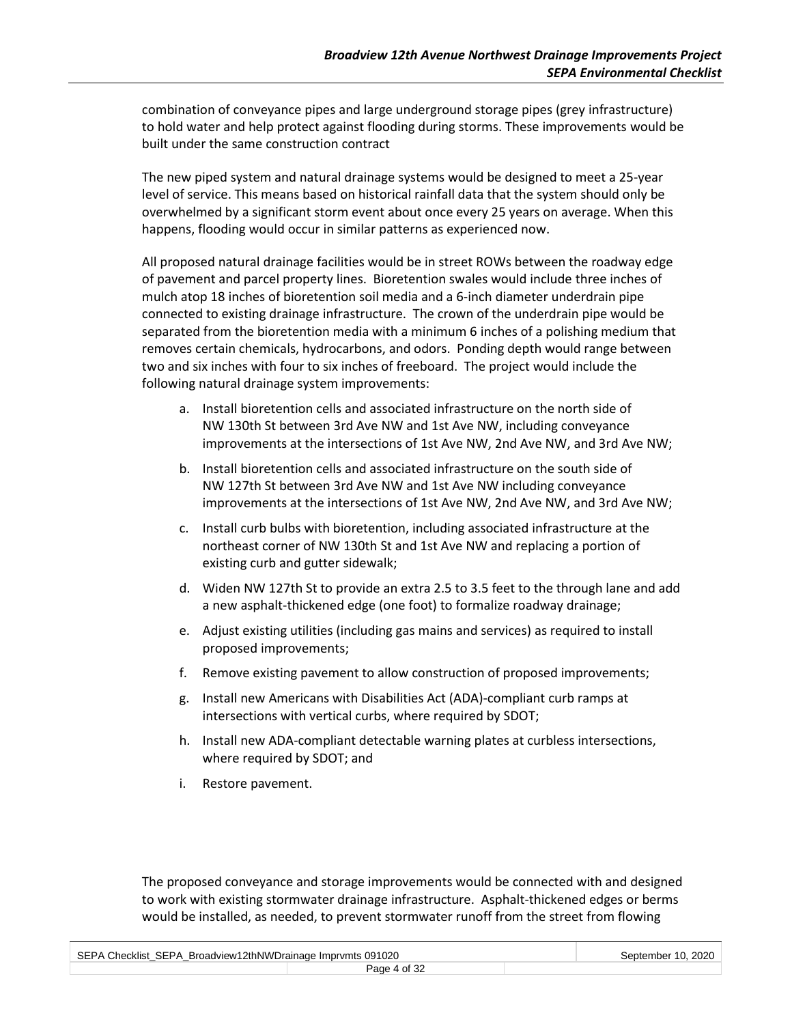combination of conveyance pipes and large underground storage pipes (grey infrastructure) to hold water and help protect against flooding during storms. These improvements would be built under the same construction contract

The new piped system and natural drainage systems would be designed to meet a 25-year level of service. This means based on historical rainfall data that the system should only be overwhelmed by a significant storm event about once every 25 years on average. When this happens, flooding would occur in similar patterns as experienced now.

All proposed natural drainage facilities would be in street ROWs between the roadway edge of pavement and parcel property lines. Bioretention swales would include three inches of mulch atop 18 inches of bioretention soil media and a 6-inch diameter underdrain pipe connected to existing drainage infrastructure. The crown of the underdrain pipe would be separated from the bioretention media with a minimum 6 inches of a polishing medium that removes certain chemicals, hydrocarbons, and odors. Ponding depth would range between two and six inches with four to six inches of freeboard. The project would include the following natural drainage system improvements:

- a. Install bioretention cells and associated infrastructure on the north side of NW 130th St between 3rd Ave NW and 1st Ave NW, including conveyance improvements at the intersections of 1st Ave NW, 2nd Ave NW, and 3rd Ave NW;
- b. Install bioretention cells and associated infrastructure on the south side of NW 127th St between 3rd Ave NW and 1st Ave NW including conveyance improvements at the intersections of 1st Ave NW, 2nd Ave NW, and 3rd Ave NW;
- c. Install curb bulbs with bioretention, including associated infrastructure at the northeast corner of NW 130th St and 1st Ave NW and replacing a portion of existing curb and gutter sidewalk;
- d. Widen NW 127th St to provide an extra 2.5 to 3.5 feet to the through lane and add a new asphalt-thickened edge (one foot) to formalize roadway drainage;
- e. Adjust existing utilities (including gas mains and services) as required to install proposed improvements;
- f. Remove existing pavement to allow construction of proposed improvements;
- g. Install new Americans with Disabilities Act (ADA)-compliant curb ramps at intersections with vertical curbs, where required by SDOT;
- h. Install new ADA-compliant detectable warning plates at curbless intersections, where required by SDOT; and
- i. Restore pavement.

The proposed conveyance and storage improvements would be connected with and designed to work with existing stormwater drainage infrastructure. Asphalt-thickened edges or berms would be installed, as needed, to prevent stormwater runoff from the street from flowing

| SEPA Checklist SEPA Broadview12thNWDrainage Imprymts 091020 |              | September 10, 2020 |
|-------------------------------------------------------------|--------------|--------------------|
|                                                             | Page 4 of 32 |                    |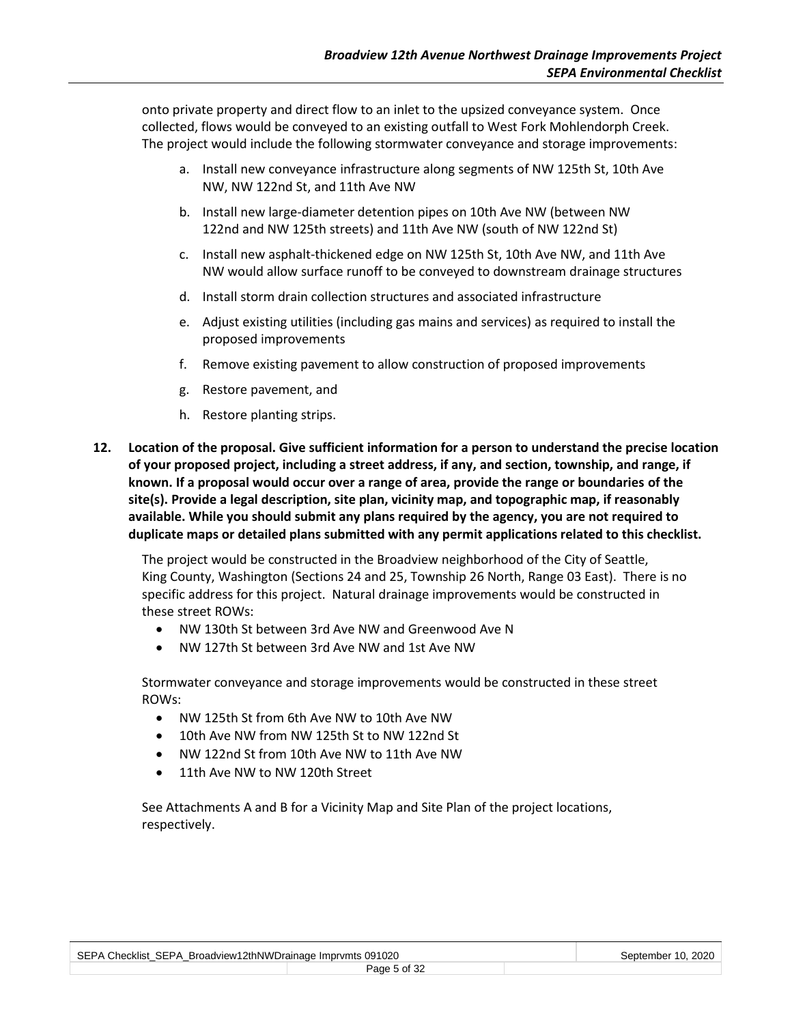onto private property and direct flow to an inlet to the upsized conveyance system. Once collected, flows would be conveyed to an existing outfall to West Fork Mohlendorph Creek. The project would include the following stormwater conveyance and storage improvements:

- a. Install new conveyance infrastructure along segments of NW 125th St, 10th Ave NW, NW 122nd St, and 11th Ave NW
- b. Install new large-diameter detention pipes on 10th Ave NW (between NW 122nd and NW 125th streets) and 11th Ave NW (south of NW 122nd St)
- c. Install new asphalt-thickened edge on NW 125th St, 10th Ave NW, and 11th Ave NW would allow surface runoff to be conveyed to downstream drainage structures
- d. Install storm drain collection structures and associated infrastructure
- e. Adjust existing utilities (including gas mains and services) as required to install the proposed improvements
- f. Remove existing pavement to allow construction of proposed improvements
- g. Restore pavement, and
- h. Restore planting strips.
- **12. Location of the proposal. Give sufficient information for a person to understand the precise location of your proposed project, including a street address, if any, and section, township, and range, if known. If a proposal would occur over a range of area, provide the range or boundaries of the site(s). Provide a legal description, site plan, vicinity map, and topographic map, if reasonably available. While you should submit any plans required by the agency, you are not required to duplicate maps or detailed plans submitted with any permit applications related to this checklist.**

The project would be constructed in the Broadview neighborhood of the City of Seattle, King County, Washington (Sections 24 and 25, Township 26 North, Range 03 East). There is no specific address for this project. Natural drainage improvements would be constructed in these street ROWs:

- NW 130th St between 3rd Ave NW and Greenwood Ave N
- NW 127th St between 3rd Ave NW and 1st Ave NW

Stormwater conveyance and storage improvements would be constructed in these street ROWs:

- NW 125th St from 6th Ave NW to 10th Ave NW
- 10th Ave NW from NW 125th St to NW 122nd St
- NW 122nd St from 10th Ave NW to 11th Ave NW
- 11th Ave NW to NW 120th Street

See Attachments A and B for a Vicinity Map and Site Plan of the project locations, respectively.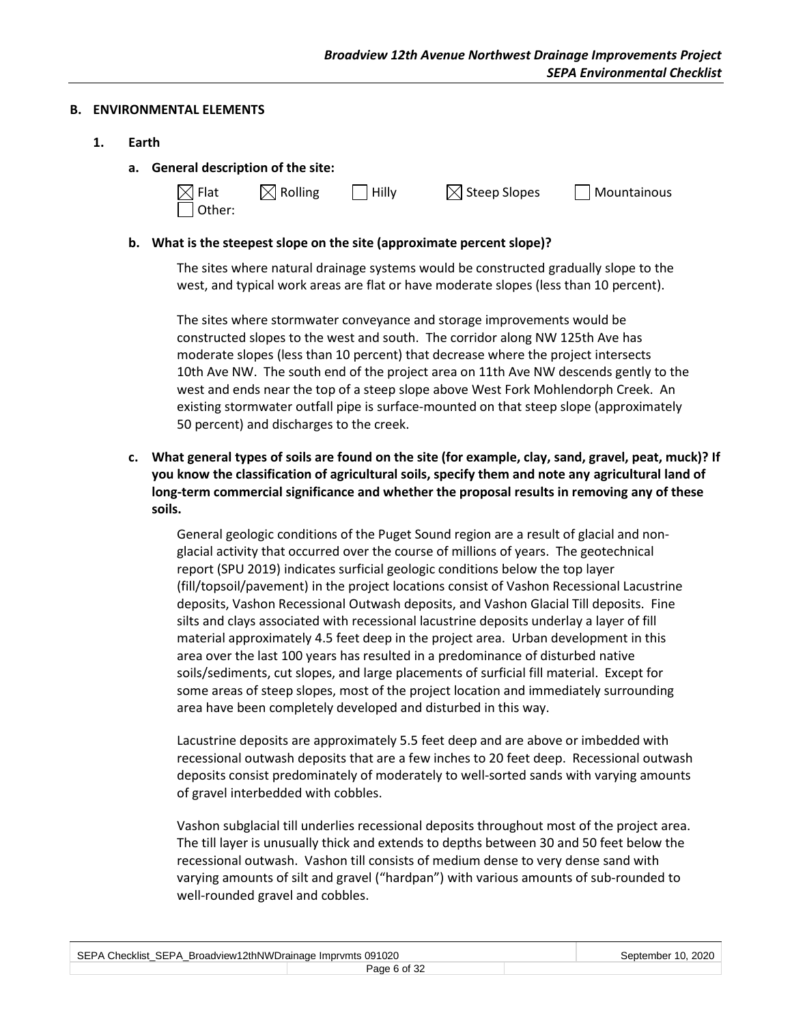#### **B. ENVIRONMENTAL ELEMENTS**

- **1. Earth**
	- **a. General description of the site:**

| $\boxtimes$ Flat | $\boxtimes$ Rolling | $\vert$ Hilly | $\boxtimes$ Steep Slopes | $\Box$ Mountainous |
|------------------|---------------------|---------------|--------------------------|--------------------|
| $\Box$ Other:    |                     |               |                          |                    |

#### **b. What is the steepest slope on the site (approximate percent slope)?**

The sites where natural drainage systems would be constructed gradually slope to the west, and typical work areas are flat or have moderate slopes (less than 10 percent).

The sites where stormwater conveyance and storage improvements would be constructed slopes to the west and south. The corridor along NW 125th Ave has moderate slopes (less than 10 percent) that decrease where the project intersects 10th Ave NW. The south end of the project area on 11th Ave NW descends gently to the west and ends near the top of a steep slope above West Fork Mohlendorph Creek. An existing stormwater outfall pipe is surface-mounted on that steep slope (approximately 50 percent) and discharges to the creek.

**c. What general types of soils are found on the site (for example, clay, sand, gravel, peat, muck)? If you know the classification of agricultural soils, specify them and note any agricultural land of long-term commercial significance and whether the proposal results in removing any of these soils.**

General geologic conditions of the Puget Sound region are a result of glacial and nonglacial activity that occurred over the course of millions of years. The geotechnical report (SPU 2019) indicates surficial geologic conditions below the top layer (fill/topsoil/pavement) in the project locations consist of Vashon Recessional Lacustrine deposits, Vashon Recessional Outwash deposits, and Vashon Glacial Till deposits. Fine silts and clays associated with recessional lacustrine deposits underlay a layer of fill material approximately 4.5 feet deep in the project area. Urban development in this area over the last 100 years has resulted in a predominance of disturbed native soils/sediments, cut slopes, and large placements of surficial fill material. Except for some areas of steep slopes, most of the project location and immediately surrounding area have been completely developed and disturbed in this way.

Lacustrine deposits are approximately 5.5 feet deep and are above or imbedded with recessional outwash deposits that are a few inches to 20 feet deep. Recessional outwash deposits consist predominately of moderately to well-sorted sands with varying amounts of gravel interbedded with cobbles.

Vashon subglacial till underlies recessional deposits throughout most of the project area. The till layer is unusually thick and extends to depths between 30 and 50 feet below the recessional outwash. Vashon till consists of medium dense to very dense sand with varying amounts of silt and gravel ("hardpan") with various amounts of sub-rounded to well-rounded gravel and cobbles.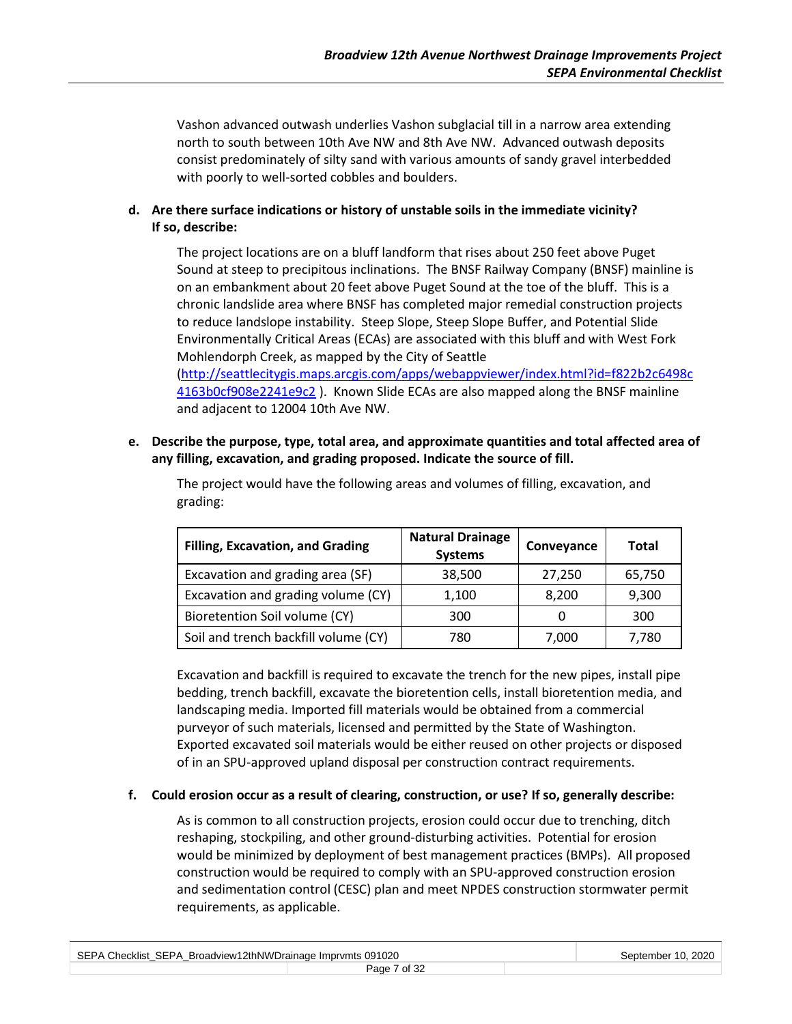Vashon advanced outwash underlies Vashon subglacial till in a narrow area extending north to south between 10th Ave NW and 8th Ave NW. Advanced outwash deposits consist predominately of silty sand with various amounts of sandy gravel interbedded with poorly to well-sorted cobbles and boulders.

**d. Are there surface indications or history of unstable soils in the immediate vicinity? If so, describe:**

The project locations are on a bluff landform that rises about 250 feet above Puget Sound at steep to precipitous inclinations. The BNSF Railway Company (BNSF) mainline is on an embankment about 20 feet above Puget Sound at the toe of the bluff. This is a chronic landslide area where BNSF has completed major remedial construction projects to reduce landslope instability. Steep Slope, Steep Slope Buffer, and Potential Slide Environmentally Critical Areas (ECAs) are associated with this bluff and with West Fork Mohlendorph Creek, as mapped by the City of Seattle

[\(http://seattlecitygis.maps.arcgis.com/apps/webappviewer/index.html?id=f822b2c6498c](http://seattlecitygis.maps.arcgis.com/apps/webappviewer/index.html?id=f822b2c6498c4163b0cf908e2241e9c2) [4163b0cf908e2241e9c2](http://seattlecitygis.maps.arcgis.com/apps/webappviewer/index.html?id=f822b2c6498c4163b0cf908e2241e9c2) ). Known Slide ECAs are also mapped along the BNSF mainline and adjacent to 12004 10th Ave NW.

**e. Describe the purpose, type, total area, and approximate quantities and total affected area of any filling, excavation, and grading proposed. Indicate the source of fill.**

| <b>Filling, Excavation, and Grading</b> | <b>Natural Drainage</b><br><b>Systems</b> | Conveyance | Total  |
|-----------------------------------------|-------------------------------------------|------------|--------|
| Excavation and grading area (SF)        | 38,500                                    | 27,250     | 65,750 |
| Excavation and grading volume (CY)      | 1,100                                     | 8,200      | 9,300  |
| Bioretention Soil volume (CY)           | 300                                       |            | 300    |
| Soil and trench backfill volume (CY)    | 780                                       | 7,000      | 7,780  |

The project would have the following areas and volumes of filling, excavation, and grading:

Excavation and backfill is required to excavate the trench for the new pipes, install pipe bedding, trench backfill, excavate the bioretention cells, install bioretention media, and landscaping media. Imported fill materials would be obtained from a commercial purveyor of such materials, licensed and permitted by the State of Washington. Exported excavated soil materials would be either reused on other projects or disposed of in an SPU-approved upland disposal per construction contract requirements.

#### **f. Could erosion occur as a result of clearing, construction, or use? If so, generally describe:**

As is common to all construction projects, erosion could occur due to trenching, ditch reshaping, stockpiling, and other ground-disturbing activities. Potential for erosion would be minimized by deployment of best management practices (BMPs). All proposed construction would be required to comply with an SPU-approved construction erosion and sedimentation control (CESC) plan and meet NPDES construction stormwater permit requirements, as applicable.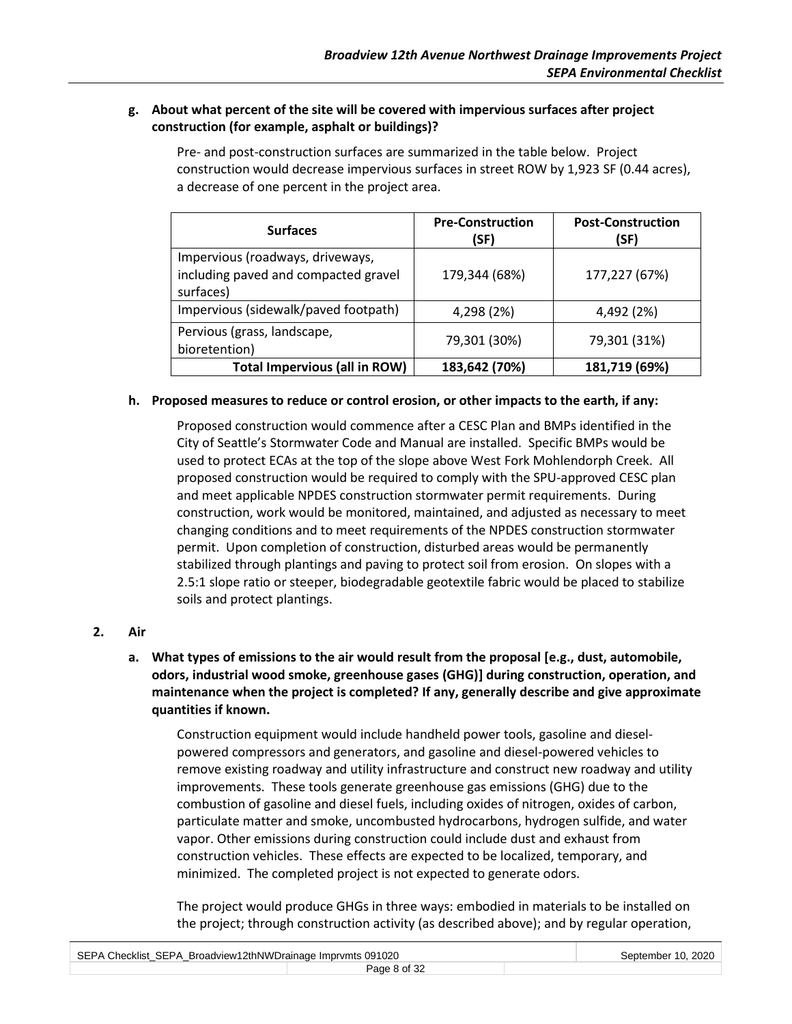## **g. About what percent of the site will be covered with impervious surfaces after project construction (for example, asphalt or buildings)?**

| <b>Surfaces</b>                                                                       | <b>Pre-Construction</b><br>(SF) | <b>Post-Construction</b><br>(SF) |
|---------------------------------------------------------------------------------------|---------------------------------|----------------------------------|
| Impervious (roadways, driveways,<br>including paved and compacted gravel<br>surfaces) | 179,344 (68%)                   | 177,227 (67%)                    |
| Impervious (sidewalk/paved footpath)                                                  | 4,298 (2%)                      | 4,492 (2%)                       |
| Pervious (grass, landscape,<br>bioretention)                                          | 79,301 (30%)                    | 79,301 (31%)                     |
| <b>Total Impervious (all in ROW)</b>                                                  | 183,642 (70%)                   | 181,719 (69%)                    |

Pre- and post-construction surfaces are summarized in the table below. Project construction would decrease impervious surfaces in street ROW by 1,923 SF (0.44 acres), a decrease of one percent in the project area.

#### **h. Proposed measures to reduce or control erosion, or other impacts to the earth, if any:**

Proposed construction would commence after a CESC Plan and BMPs identified in the City of Seattle's Stormwater Code and Manual are installed. Specific BMPs would be used to protect ECAs at the top of the slope above West Fork Mohlendorph Creek. All proposed construction would be required to comply with the SPU-approved CESC plan and meet applicable NPDES construction stormwater permit requirements. During construction, work would be monitored, maintained, and adjusted as necessary to meet changing conditions and to meet requirements of the NPDES construction stormwater permit. Upon completion of construction, disturbed areas would be permanently stabilized through plantings and paving to protect soil from erosion. On slopes with a 2.5:1 slope ratio or steeper, biodegradable geotextile fabric would be placed to stabilize soils and protect plantings.

#### **2. Air**

**a. What types of emissions to the air would result from the proposal [e.g., dust, automobile, odors, industrial wood smoke, greenhouse gases (GHG)] during construction, operation, and maintenance when the project is completed? If any, generally describe and give approximate quantities if known.**

Construction equipment would include handheld power tools, gasoline and dieselpowered compressors and generators, and gasoline and diesel-powered vehicles to remove existing roadway and utility infrastructure and construct new roadway and utility improvements. These tools generate greenhouse gas emissions (GHG) due to the combustion of gasoline and diesel fuels, including oxides of nitrogen, oxides of carbon, particulate matter and smoke, uncombusted hydrocarbons, hydrogen sulfide, and water vapor. Other emissions during construction could include dust and exhaust from construction vehicles. These effects are expected to be localized, temporary, and minimized. The completed project is not expected to generate odors.

The project would produce GHGs in three ways: embodied in materials to be installed on the project; through construction activity (as described above); and by regular operation,

| SEPA Checklist SEPA Broadview12thNWDrainage Imprymts 091020 |              |  | September 10, 2020 |
|-------------------------------------------------------------|--------------|--|--------------------|
|                                                             | Page 8 of 32 |  |                    |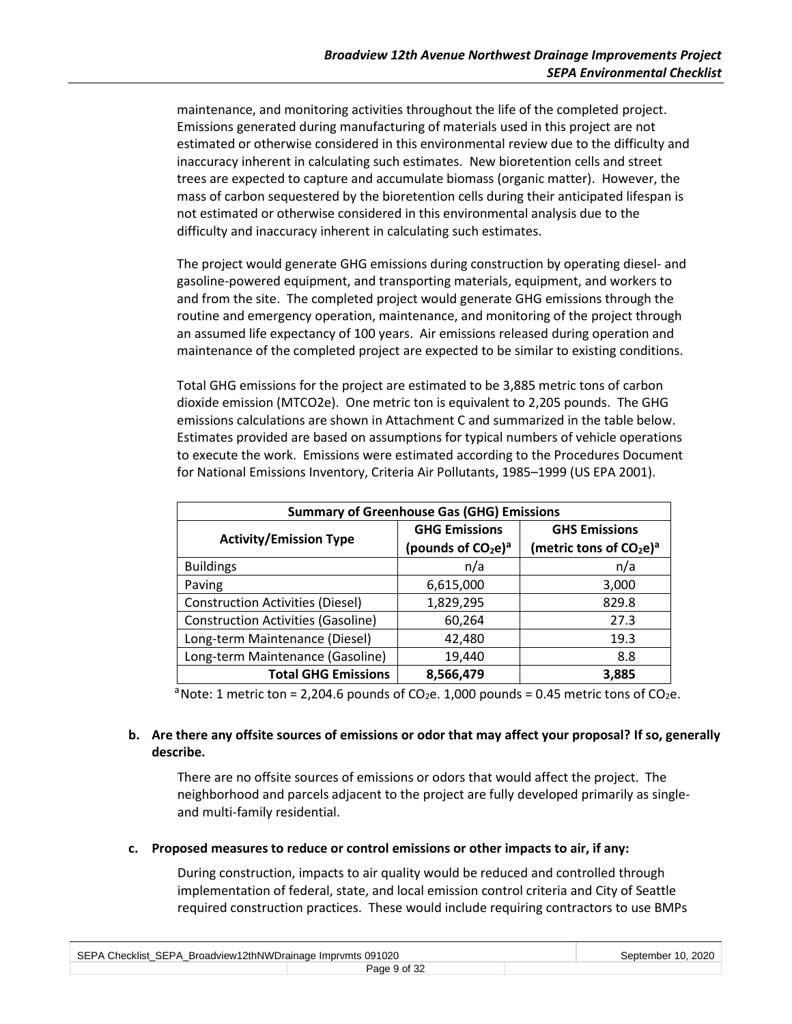maintenance, and monitoring activities throughout the life of the completed project. Emissions generated during manufacturing of materials used in this project are not estimated or otherwise considered in this environmental review due to the difficulty and inaccuracy inherent in calculating such estimates. New bioretention cells and street trees are expected to capture and accumulate biomass (organic matter). However, the mass of carbon sequestered by the bioretention cells during their anticipated lifespan is not estimated or otherwise considered in this environmental analysis due to the difficulty and inaccuracy inherent in calculating such estimates.

The project would generate GHG emissions during construction by operating diesel- and gasoline-powered equipment, and transporting materials, equipment, and workers to and from the site. The completed project would generate GHG emissions through the routine and emergency operation, maintenance, and monitoring of the project through an assumed life expectancy of 100 years. Air emissions released during operation and maintenance of the completed project are expected to be similar to existing conditions.

Total GHG emissions for the project are estimated to be 3,885 metric tons of carbon dioxide emission (MTCO2e). One metric ton is equivalent to 2,205 pounds. The GHG emissions calculations are shown in Attachment C and summarized in the table below. Estimates provided are based on assumptions for typical numbers of vehicle operations to execute the work. Emissions were estimated according to the Procedures Document for National Emissions Inventory, Criteria Air Pollutants, 1985–1999 (US EPA 2001).

| <b>Summary of Greenhouse Gas (GHG) Emissions</b> |                      |                                       |  |  |
|--------------------------------------------------|----------------------|---------------------------------------|--|--|
|                                                  | <b>GHG Emissions</b> | <b>GHS Emissions</b>                  |  |  |
| <b>Activity/Emission Type</b>                    | (pounds of $CO2e)a$  | (metric tons of $CO2e$ ) <sup>a</sup> |  |  |
| <b>Buildings</b>                                 | n/a                  | n/a                                   |  |  |
| Paving                                           | 6,615,000            | 3,000                                 |  |  |
| <b>Construction Activities (Diesel)</b>          | 1,829,295            | 829.8                                 |  |  |
| <b>Construction Activities (Gasoline)</b>        | 60,264               | 27.3                                  |  |  |
| Long-term Maintenance (Diesel)                   | 42,480               | 19.3                                  |  |  |
| Long-term Maintenance (Gasoline)                 | 19,440               | 8.8                                   |  |  |
| <b>Total GHG Emissions</b><br>8,566,479<br>3,885 |                      |                                       |  |  |

<sup>a</sup> Note: 1 metric ton = 2,204.6 pounds of CO<sub>2</sub>e. 1,000 pounds = 0.45 metric tons of CO<sub>2</sub>e.

## **b. Are there any offsite sources of emissions or odor that may affect your proposal? If so, generally describe.**

There are no offsite sources of emissions or odors that would affect the project. The neighborhood and parcels adjacent to the project are fully developed primarily as singleand multi-family residential.

#### **c. Proposed measures to reduce or control emissions or other impacts to air, if any:**

During construction, impacts to air quality would be reduced and controlled through implementation of federal, state, and local emission control criteria and City of Seattle required construction practices. These would include requiring contractors to use BMPs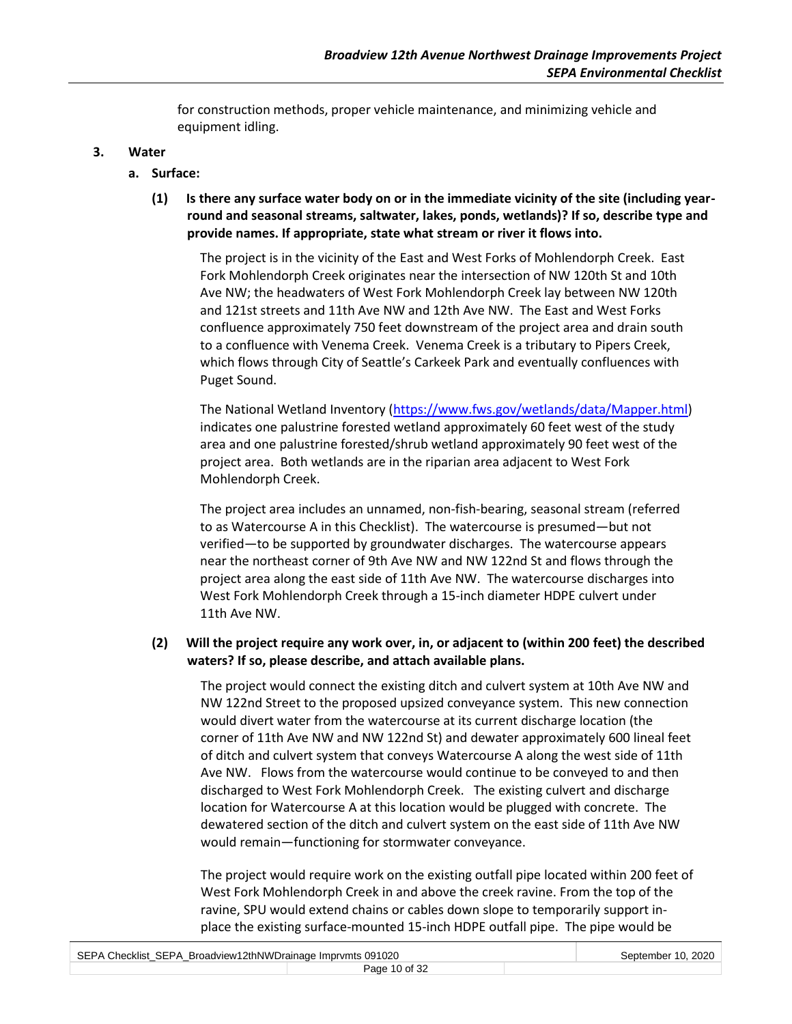for construction methods, proper vehicle maintenance, and minimizing vehicle and equipment idling.

#### **3. Water**

## **a. Surface:**

**(1) Is there any surface water body on or in the immediate vicinity of the site (including yearround and seasonal streams, saltwater, lakes, ponds, wetlands)? If so, describe type and provide names. If appropriate, state what stream or river it flows into.**

The project is in the vicinity of the East and West Forks of Mohlendorph Creek. East Fork Mohlendorph Creek originates near the intersection of NW 120th St and 10th Ave NW; the headwaters of West Fork Mohlendorph Creek lay between NW 120th and 121st streets and 11th Ave NW and 12th Ave NW. The East and West Forks confluence approximately 750 feet downstream of the project area and drain south to a confluence with Venema Creek. Venema Creek is a tributary to Pipers Creek, which flows through City of Seattle's Carkeek Park and eventually confluences with Puget Sound.

The National Wetland Inventory [\(https://www.fws.gov/wetlands/data/Mapper.html\)](https://www.fws.gov/wetlands/data/Mapper.html) indicates one palustrine forested wetland approximately 60 feet west of the study area and one palustrine forested/shrub wetland approximately 90 feet west of the project area. Both wetlands are in the riparian area adjacent to West Fork Mohlendorph Creek.

The project area includes an unnamed, non-fish-bearing, seasonal stream (referred to as Watercourse A in this Checklist). The watercourse is presumed—but not verified—to be supported by groundwater discharges. The watercourse appears near the northeast corner of 9th Ave NW and NW 122nd St and flows through the project area along the east side of 11th Ave NW. The watercourse discharges into West Fork Mohlendorph Creek through a 15-inch diameter HDPE culvert under 11th Ave NW.

## **(2) Will the project require any work over, in, or adjacent to (within 200 feet) the described waters? If so, please describe, and attach available plans.**

The project would connect the existing ditch and culvert system at 10th Ave NW and NW 122nd Street to the proposed upsized conveyance system. This new connection would divert water from the watercourse at its current discharge location (the corner of 11th Ave NW and NW 122nd St) and dewater approximately 600 lineal feet of ditch and culvert system that conveys Watercourse A along the west side of 11th Ave NW. Flows from the watercourse would continue to be conveyed to and then discharged to West Fork Mohlendorph Creek. The existing culvert and discharge location for Watercourse A at this location would be plugged with concrete. The dewatered section of the ditch and culvert system on the east side of 11th Ave NW would remain—functioning for stormwater conveyance.

The project would require work on the existing outfall pipe located within 200 feet of West Fork Mohlendorph Creek in and above the creek ravine. From the top of the ravine, SPU would extend chains or cables down slope to temporarily support inplace the existing surface-mounted 15-inch HDPE outfall pipe. The pipe would be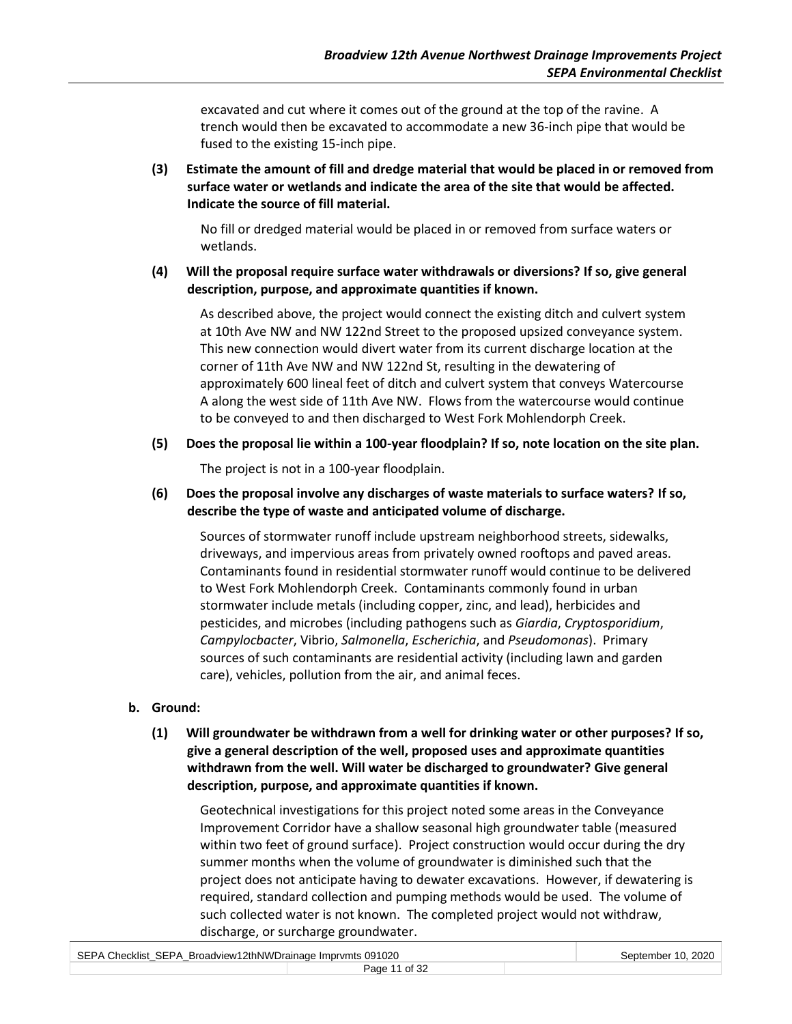excavated and cut where it comes out of the ground at the top of the ravine. A trench would then be excavated to accommodate a new 36-inch pipe that would be fused to the existing 15-inch pipe.

**(3) Estimate the amount of fill and dredge material that would be placed in or removed from surface water or wetlands and indicate the area of the site that would be affected. Indicate the source of fill material.**

No fill or dredged material would be placed in or removed from surface waters or wetlands.

**(4) Will the proposal require surface water withdrawals or diversions? If so, give general description, purpose, and approximate quantities if known.**

As described above, the project would connect the existing ditch and culvert system at 10th Ave NW and NW 122nd Street to the proposed upsized conveyance system. This new connection would divert water from its current discharge location at the corner of 11th Ave NW and NW 122nd St, resulting in the dewatering of approximately 600 lineal feet of ditch and culvert system that conveys Watercourse A along the west side of 11th Ave NW. Flows from the watercourse would continue to be conveyed to and then discharged to West Fork Mohlendorph Creek.

**(5) Does the proposal lie within a 100-year floodplain? If so, note location on the site plan.**

The project is not in a 100-year floodplain.

**(6) Does the proposal involve any discharges of waste materials to surface waters? If so, describe the type of waste and anticipated volume of discharge.**

Sources of stormwater runoff include upstream neighborhood streets, sidewalks, driveways, and impervious areas from privately owned rooftops and paved areas. Contaminants found in residential stormwater runoff would continue to be delivered to West Fork Mohlendorph Creek. Contaminants commonly found in urban stormwater include metals (including copper, zinc, and lead), herbicides and pesticides, and microbes (including pathogens such as *Giardia*, *Cryptosporidium*, *Campylocbacter*, Vibrio, *Salmonella*, *Escherichia*, and *Pseudomonas*). Primary sources of such contaminants are residential activity (including lawn and garden care), vehicles, pollution from the air, and animal feces.

- **b. Ground:**
	- **(1) Will groundwater be withdrawn from a well for drinking water or other purposes? If so, give a general description of the well, proposed uses and approximate quantities withdrawn from the well. Will water be discharged to groundwater? Give general description, purpose, and approximate quantities if known.**

Geotechnical investigations for this project noted some areas in the Conveyance Improvement Corridor have a shallow seasonal high groundwater table (measured within two feet of ground surface). Project construction would occur during the dry summer months when the volume of groundwater is diminished such that the project does not anticipate having to dewater excavations. However, if dewatering is required, standard collection and pumping methods would be used. The volume of such collected water is not known. The completed project would not withdraw, discharge, or surcharge groundwater.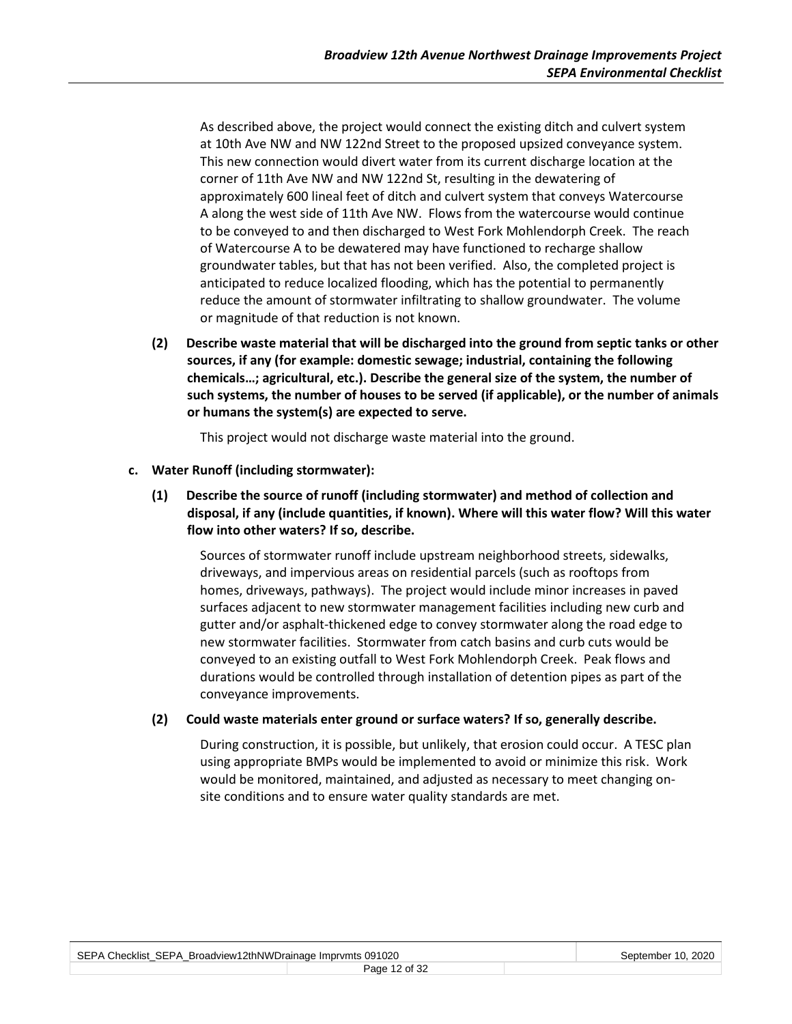As described above, the project would connect the existing ditch and culvert system at 10th Ave NW and NW 122nd Street to the proposed upsized conveyance system. This new connection would divert water from its current discharge location at the corner of 11th Ave NW and NW 122nd St, resulting in the dewatering of approximately 600 lineal feet of ditch and culvert system that conveys Watercourse A along the west side of 11th Ave NW. Flows from the watercourse would continue to be conveyed to and then discharged to West Fork Mohlendorph Creek. The reach of Watercourse A to be dewatered may have functioned to recharge shallow groundwater tables, but that has not been verified. Also, the completed project is anticipated to reduce localized flooding, which has the potential to permanently reduce the amount of stormwater infiltrating to shallow groundwater. The volume or magnitude of that reduction is not known.

**(2) Describe waste material that will be discharged into the ground from septic tanks or other sources, if any (for example: domestic sewage; industrial, containing the following chemicals…; agricultural, etc.). Describe the general size of the system, the number of such systems, the number of houses to be served (if applicable), or the number of animals or humans the system(s) are expected to serve.**

This project would not discharge waste material into the ground.

#### **c. Water Runoff (including stormwater):**

**(1) Describe the source of runoff (including stormwater) and method of collection and disposal, if any (include quantities, if known). Where will this water flow? Will this water flow into other waters? If so, describe.**

Sources of stormwater runoff include upstream neighborhood streets, sidewalks, driveways, and impervious areas on residential parcels (such as rooftops from homes, driveways, pathways). The project would include minor increases in paved surfaces adjacent to new stormwater management facilities including new curb and gutter and/or asphalt-thickened edge to convey stormwater along the road edge to new stormwater facilities. Stormwater from catch basins and curb cuts would be conveyed to an existing outfall to West Fork Mohlendorph Creek. Peak flows and durations would be controlled through installation of detention pipes as part of the conveyance improvements.

#### **(2) Could waste materials enter ground or surface waters? If so, generally describe.**

During construction, it is possible, but unlikely, that erosion could occur. A TESC plan using appropriate BMPs would be implemented to avoid or minimize this risk. Work would be monitored, maintained, and adjusted as necessary to meet changing onsite conditions and to ensure water quality standards are met.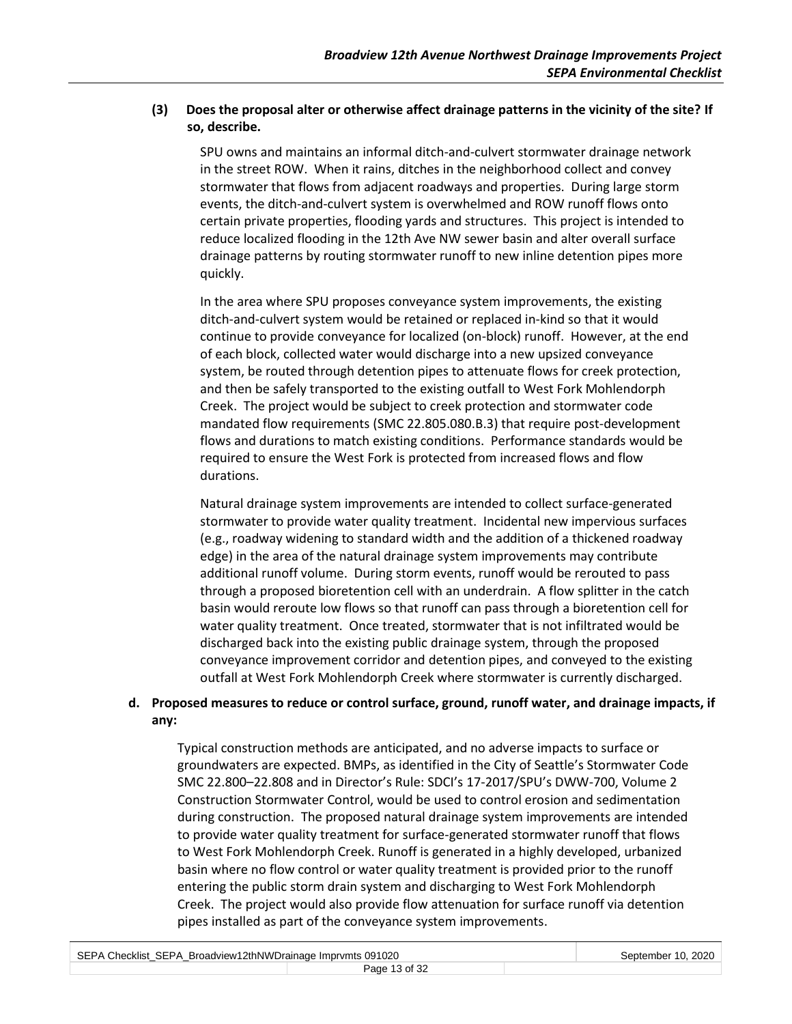## **(3) Does the proposal alter or otherwise affect drainage patterns in the vicinity of the site? If so, describe.**

SPU owns and maintains an informal ditch-and-culvert stormwater drainage network in the street ROW. When it rains, ditches in the neighborhood collect and convey stormwater that flows from adjacent roadways and properties. During large storm events, the ditch-and-culvert system is overwhelmed and ROW runoff flows onto certain private properties, flooding yards and structures. This project is intended to reduce localized flooding in the 12th Ave NW sewer basin and alter overall surface drainage patterns by routing stormwater runoff to new inline detention pipes more quickly.

In the area where SPU proposes conveyance system improvements, the existing ditch-and-culvert system would be retained or replaced in-kind so that it would continue to provide conveyance for localized (on-block) runoff. However, at the end of each block, collected water would discharge into a new upsized conveyance system, be routed through detention pipes to attenuate flows for creek protection, and then be safely transported to the existing outfall to West Fork Mohlendorph Creek. The project would be subject to creek protection and stormwater code mandated flow requirements (SMC 22.805.080.B.3) that require post-development flows and durations to match existing conditions. Performance standards would be required to ensure the West Fork is protected from increased flows and flow durations.

Natural drainage system improvements are intended to collect surface-generated stormwater to provide water quality treatment. Incidental new impervious surfaces (e.g., roadway widening to standard width and the addition of a thickened roadway edge) in the area of the natural drainage system improvements may contribute additional runoff volume. During storm events, runoff would be rerouted to pass through a proposed bioretention cell with an underdrain. A flow splitter in the catch basin would reroute low flows so that runoff can pass through a bioretention cell for water quality treatment. Once treated, stormwater that is not infiltrated would be discharged back into the existing public drainage system, through the proposed conveyance improvement corridor and detention pipes, and conveyed to the existing outfall at West Fork Mohlendorph Creek where stormwater is currently discharged.

## **d. Proposed measures to reduce or control surface, ground, runoff water, and drainage impacts, if any:**

Typical construction methods are anticipated, and no adverse impacts to surface or groundwaters are expected. BMPs, as identified in the City of Seattle's Stormwater Code SMC 22.800–22.808 and in Director's Rule: SDCI's 17-2017/SPU's DWW-700, Volume 2 Construction Stormwater Control, would be used to control erosion and sedimentation during construction. The proposed natural drainage system improvements are intended to provide water quality treatment for surface-generated stormwater runoff that flows to West Fork Mohlendorph Creek. Runoff is generated in a highly developed, urbanized basin where no flow control or water quality treatment is provided prior to the runoff entering the public storm drain system and discharging to West Fork Mohlendorph Creek. The project would also provide flow attenuation for surface runoff via detention pipes installed as part of the conveyance system improvements.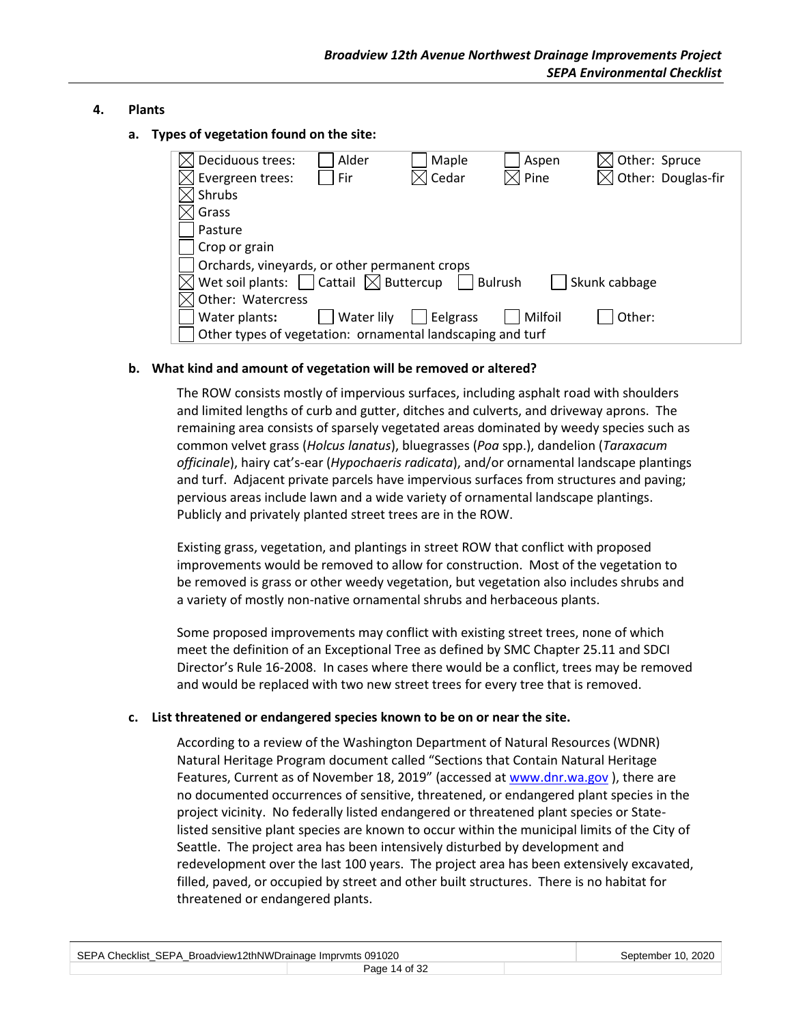## **4. Plants**

**a. Types of vegetation found on the site:**

| Deciduous trees:                                           | Alder      | Maple    | Aspen          | Other: Spruce                  |
|------------------------------------------------------------|------------|----------|----------------|--------------------------------|
| Evergreen trees:                                           | Fir        | Cedar    | $\times$ Pine  | $\boxtimes$ Other: Douglas-fir |
| Shrubs                                                     |            |          |                |                                |
| Grass                                                      |            |          |                |                                |
| Pasture                                                    |            |          |                |                                |
| Crop or grain                                              |            |          |                |                                |
| Orchards, vineyards, or other permanent crops              |            |          |                |                                |
| Wet soil plants: $\Box$ Cattail $\boxtimes$ Buttercup      |            |          | <b>Bulrush</b> | Skunk cabbage                  |
| Other: Watercress                                          |            |          |                |                                |
| Water plants:                                              | Water lily | Eelgrass | Milfoil        | Other:                         |
| Other types of vegetation: ornamental landscaping and turf |            |          |                |                                |

## **b. What kind and amount of vegetation will be removed or altered?**

The ROW consists mostly of impervious surfaces, including asphalt road with shoulders and limited lengths of curb and gutter, ditches and culverts, and driveway aprons. The remaining area consists of sparsely vegetated areas dominated by weedy species such as common velvet grass (*Holcus lanatus*), bluegrasses (*Poa* spp.), dandelion (*Taraxacum officinale*), hairy cat's-ear (*Hypochaeris radicata*), and/or ornamental landscape plantings and turf. Adjacent private parcels have impervious surfaces from structures and paving; pervious areas include lawn and a wide variety of ornamental landscape plantings. Publicly and privately planted street trees are in the ROW.

Existing grass, vegetation, and plantings in street ROW that conflict with proposed improvements would be removed to allow for construction. Most of the vegetation to be removed is grass or other weedy vegetation, but vegetation also includes shrubs and a variety of mostly non-native ornamental shrubs and herbaceous plants.

Some proposed improvements may conflict with existing street trees, none of which meet the definition of an Exceptional Tree as defined by SMC Chapter 25.11 and SDCI Director's Rule 16-2008. In cases where there would be a conflict, trees may be removed and would be replaced with two new street trees for every tree that is removed.

#### **c. List threatened or endangered species known to be on or near the site.**

According to a review of the Washington Department of Natural Resources (WDNR) Natural Heritage Program document called "Sections that Contain Natural Heritage Features, Current as of November 18, 2019" (accessed at [www.dnr.wa.gov](http://www.dnr.wa.gov/) ), there are no documented occurrences of sensitive, threatened, or endangered plant species in the project vicinity. No federally listed endangered or threatened plant species or Statelisted sensitive plant species are known to occur within the municipal limits of the City of Seattle. The project area has been intensively disturbed by development and redevelopment over the last 100 years. The project area has been extensively excavated, filled, paved, or occupied by street and other built structures. There is no habitat for threatened or endangered plants.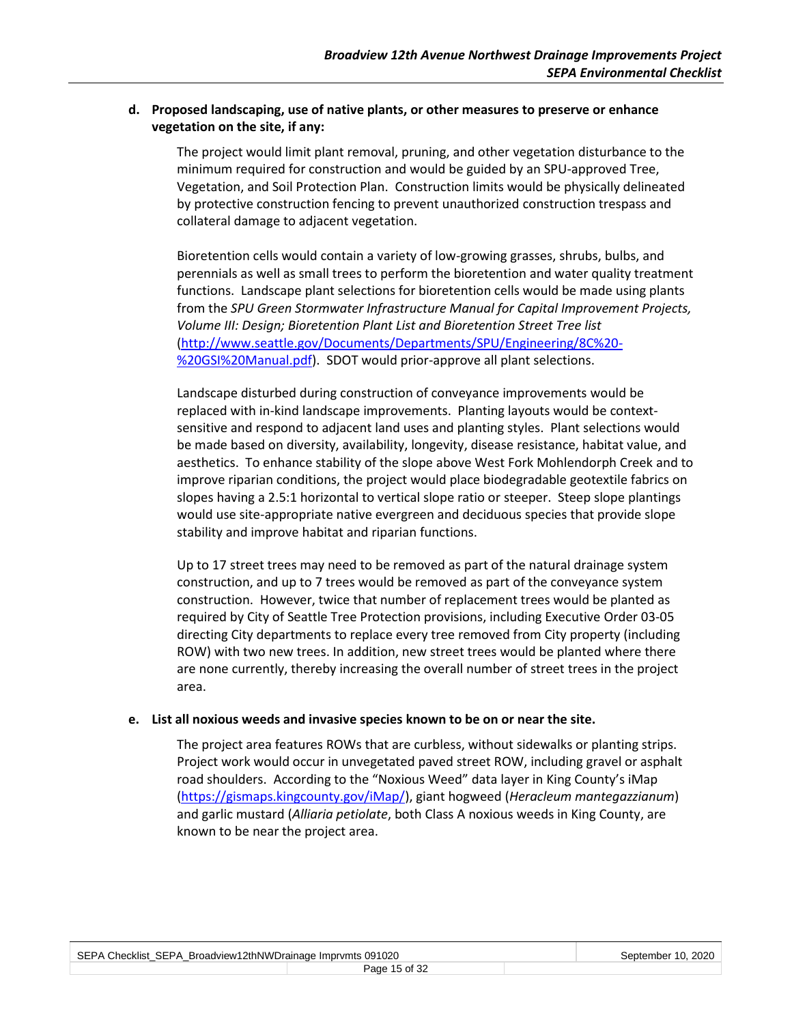## **d. Proposed landscaping, use of native plants, or other measures to preserve or enhance vegetation on the site, if any:**

The project would limit plant removal, pruning, and other vegetation disturbance to the minimum required for construction and would be guided by an SPU-approved Tree, Vegetation, and Soil Protection Plan. Construction limits would be physically delineated by protective construction fencing to prevent unauthorized construction trespass and collateral damage to adjacent vegetation.

Bioretention cells would contain a variety of low-growing grasses, shrubs, bulbs, and perennials as well as small trees to perform the bioretention and water quality treatment functions. Landscape plant selections for bioretention cells would be made using plants from the *SPU Green Stormwater Infrastructure Manual for Capital Improvement Projects, Volume III: Design; Bioretention Plant List and Bioretention Street Tree list* [\(http://www.seattle.gov/Documents/Departments/SPU/Engineering/8C%20-](http://www.seattle.gov/Documents/Departments/SPU/Engineering/8C%20-%20GSI%20Manual.pdf) [%20GSI%20Manual.pdf\)](http://www.seattle.gov/Documents/Departments/SPU/Engineering/8C%20-%20GSI%20Manual.pdf). SDOT would prior-approve all plant selections.

Landscape disturbed during construction of conveyance improvements would be replaced with in-kind landscape improvements. Planting layouts would be contextsensitive and respond to adjacent land uses and planting styles. Plant selections would be made based on diversity, availability, longevity, disease resistance, habitat value, and aesthetics. To enhance stability of the slope above West Fork Mohlendorph Creek and to improve riparian conditions, the project would place biodegradable geotextile fabrics on slopes having a 2.5:1 horizontal to vertical slope ratio or steeper. Steep slope plantings would use site-appropriate native evergreen and deciduous species that provide slope stability and improve habitat and riparian functions.

Up to 17 street trees may need to be removed as part of the natural drainage system construction, and up to 7 trees would be removed as part of the conveyance system construction. However, twice that number of replacement trees would be planted as required by City of Seattle Tree Protection provisions, including Executive Order 03-05 directing City departments to replace every tree removed from City property (including ROW) with two new trees. In addition, new street trees would be planted where there are none currently, thereby increasing the overall number of street trees in the project area.

#### **e. List all noxious weeds and invasive species known to be on or near the site.**

The project area features ROWs that are curbless, without sidewalks or planting strips. Project work would occur in unvegetated paved street ROW, including gravel or asphalt road shoulders. According to the "Noxious Weed" data layer in King County's iMap [\(https://gismaps.kingcounty.gov/iMap/\)](https://gismaps.kingcounty.gov/iMap/), giant hogweed (*Heracleum mantegazzianum*) and garlic mustard (*Alliaria petiolate*, both Class A noxious weeds in King County, are known to be near the project area.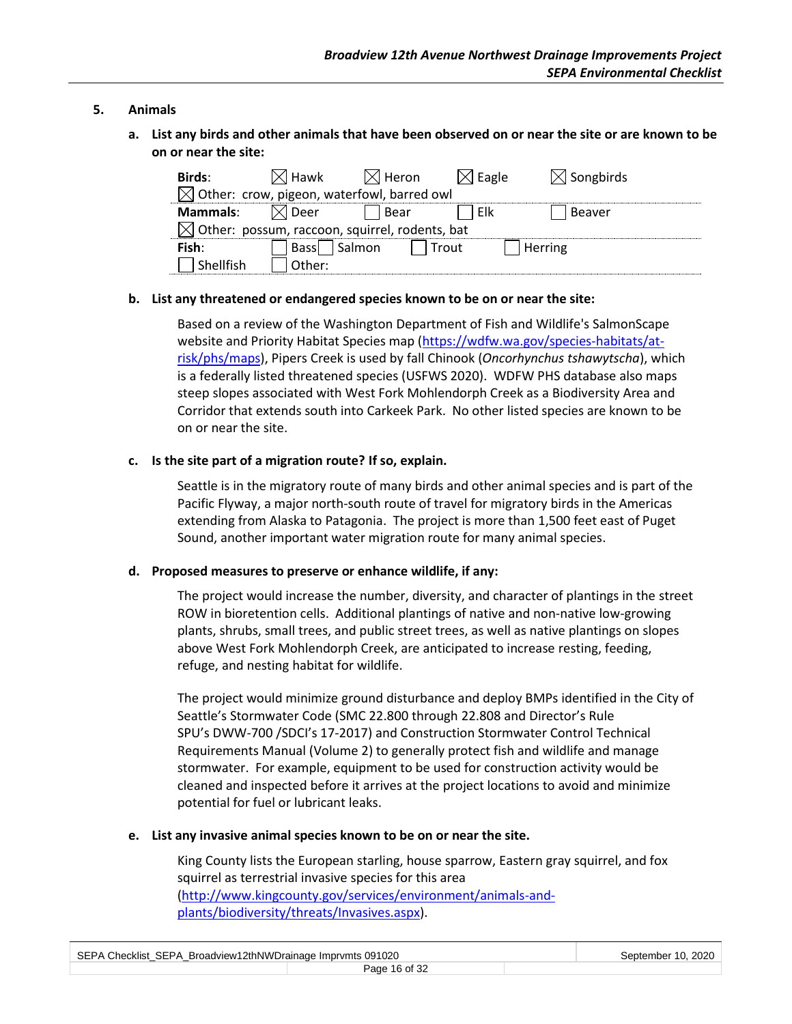#### **5. Animals**

**a. List any birds and other animals that have been observed on or near the site or are known to be on or near the site:**

| Birds:          | $\boxtimes$ l Hawk                                         | $ \times $ Heron $ $ | √ Eagle | $\triangleleft$ Songbirds |  |
|-----------------|------------------------------------------------------------|----------------------|---------|---------------------------|--|
|                 | $\boxtimes$ Other: crow, pigeon, waterfowl, barred owl     |                      |         |                           |  |
| <b>Mammals:</b> | ≺l Deer                                                    | Bear                 | Elk     | Beaver                    |  |
|                 | $\boxtimes$ Other: possum, raccoon, squirrel, rodents, bat |                      |         |                           |  |
| Fish:           | Bassl                                                      | I Salmon             | Trout   | Herring                   |  |
| ' Shellfish     | Other:                                                     |                      |         |                           |  |

#### **b. List any threatened or endangered species known to be on or near the site:**

Based on a review of the Washington Department of Fish and Wildlife's SalmonScape website and Priority Habitat Species map [\(https://wdfw.wa.gov/species-habitats/at](https://wdfw.wa.gov/species-habitats/at-risk/phs/maps)[risk/phs/maps\)](https://wdfw.wa.gov/species-habitats/at-risk/phs/maps), Pipers Creek is used by fall Chinook (*Oncorhynchus tshawytscha*), which is a federally listed threatened species (USFWS 2020). WDFW PHS database also maps steep slopes associated with West Fork Mohlendorph Creek as a Biodiversity Area and Corridor that extends south into Carkeek Park. No other listed species are known to be on or near the site.

#### **c. Is the site part of a migration route? If so, explain.**

Seattle is in the migratory route of many birds and other animal species and is part of the Pacific Flyway, a major north-south route of travel for migratory birds in the Americas extending from Alaska to Patagonia. The project is more than 1,500 feet east of Puget Sound, another important water migration route for many animal species.

#### **d. Proposed measures to preserve or enhance wildlife, if any:**

The project would increase the number, diversity, and character of plantings in the street ROW in bioretention cells. Additional plantings of native and non-native low-growing plants, shrubs, small trees, and public street trees, as well as native plantings on slopes above West Fork Mohlendorph Creek, are anticipated to increase resting, feeding, refuge, and nesting habitat for wildlife.

The project would minimize ground disturbance and deploy BMPs identified in the City of Seattle's Stormwater Code (SMC 22.800 through 22.808 and Director's Rule SPU's DWW-700 /SDCI's 17-2017) and Construction Stormwater Control Technical Requirements Manual (Volume 2) to generally protect fish and wildlife and manage stormwater. For example, equipment to be used for construction activity would be cleaned and inspected before it arrives at the project locations to avoid and minimize potential for fuel or lubricant leaks.

#### **e. List any invasive animal species known to be on or near the site.**

King County lists the European starling, house sparrow, Eastern gray squirrel, and fox squirrel as terrestrial invasive species for this area [\(http://www.kingcounty.gov/services/environment/animals-and](http://www.kingcounty.gov/services/environment/animals-and-plants/biodiversity/threats/Invasives.aspx)[plants/biodiversity/threats/Invasives.aspx\)](http://www.kingcounty.gov/services/environment/animals-and-plants/biodiversity/threats/Invasives.aspx).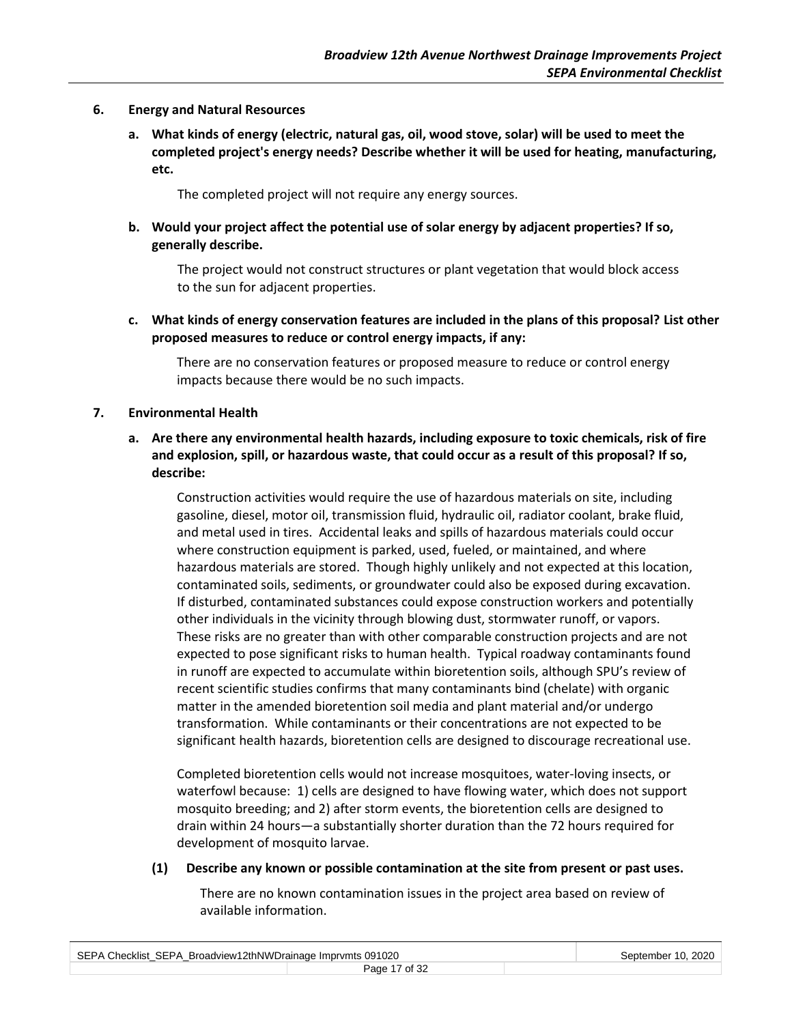#### **6. Energy and Natural Resources**

**a. What kinds of energy (electric, natural gas, oil, wood stove, solar) will be used to meet the completed project's energy needs? Describe whether it will be used for heating, manufacturing, etc.**

The completed project will not require any energy sources.

**b. Would your project affect the potential use of solar energy by adjacent properties? If so, generally describe.**

The project would not construct structures or plant vegetation that would block access to the sun for adjacent properties.

**c. What kinds of energy conservation features are included in the plans of this proposal? List other proposed measures to reduce or control energy impacts, if any:**

There are no conservation features or proposed measure to reduce or control energy impacts because there would be no such impacts.

#### **7. Environmental Health**

**a. Are there any environmental health hazards, including exposure to toxic chemicals, risk of fire and explosion, spill, or hazardous waste, that could occur as a result of this proposal? If so, describe:**

Construction activities would require the use of hazardous materials on site, including gasoline, diesel, motor oil, transmission fluid, hydraulic oil, radiator coolant, brake fluid, and metal used in tires. Accidental leaks and spills of hazardous materials could occur where construction equipment is parked, used, fueled, or maintained, and where hazardous materials are stored. Though highly unlikely and not expected at this location, contaminated soils, sediments, or groundwater could also be exposed during excavation. If disturbed, contaminated substances could expose construction workers and potentially other individuals in the vicinity through blowing dust, stormwater runoff, or vapors. These risks are no greater than with other comparable construction projects and are not expected to pose significant risks to human health. Typical roadway contaminants found in runoff are expected to accumulate within bioretention soils, although SPU's review of recent scientific studies confirms that many contaminants bind (chelate) with organic matter in the amended bioretention soil media and plant material and/or undergo transformation. While contaminants or their concentrations are not expected to be significant health hazards, bioretention cells are designed to discourage recreational use.

Completed bioretention cells would not increase mosquitoes, water-loving insects, or waterfowl because: 1) cells are designed to have flowing water, which does not support mosquito breeding; and 2) after storm events, the bioretention cells are designed to drain within 24 hours—a substantially shorter duration than the 72 hours required for development of mosquito larvae.

#### **(1) Describe any known or possible contamination at the site from present or past uses.**

There are no known contamination issues in the project area based on review of available information.

| SEPA Checklist SEPA Broadview12thNWDrainage Imprymts 091020 | September 10, 2020 |  |
|-------------------------------------------------------------|--------------------|--|
|                                                             | Page 17 of 32      |  |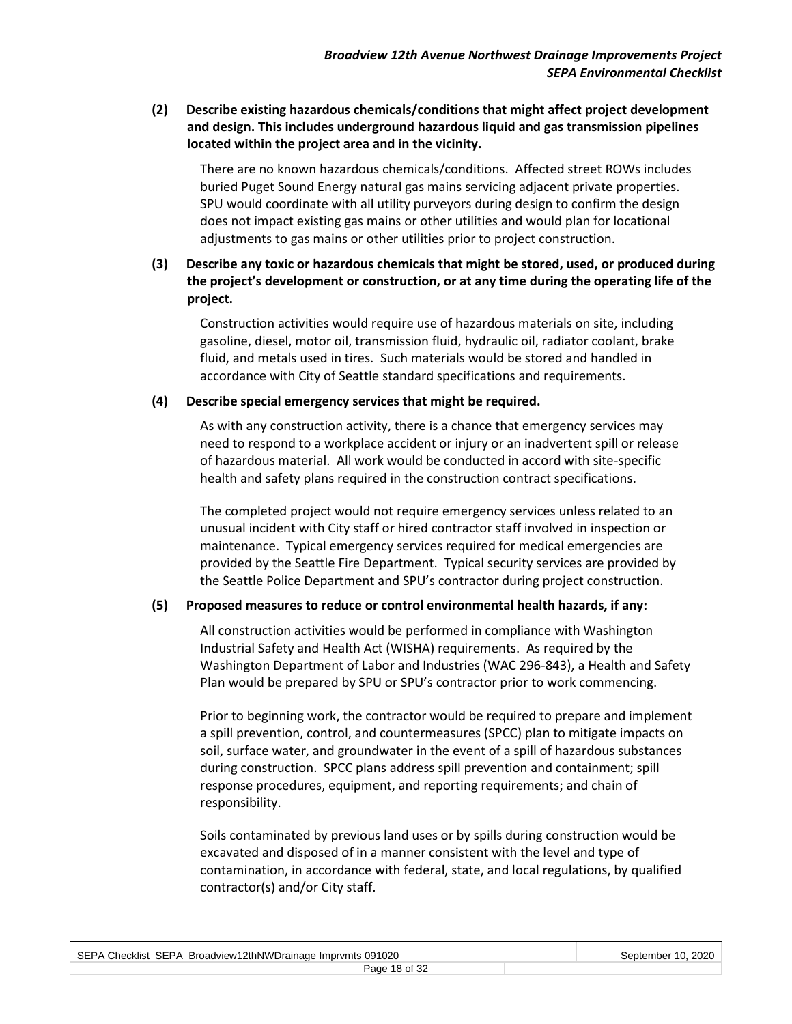## **(2) Describe existing hazardous chemicals/conditions that might affect project development and design. This includes underground hazardous liquid and gas transmission pipelines located within the project area and in the vicinity.**

There are no known hazardous chemicals/conditions. Affected street ROWs includes buried Puget Sound Energy natural gas mains servicing adjacent private properties. SPU would coordinate with all utility purveyors during design to confirm the design does not impact existing gas mains or other utilities and would plan for locational adjustments to gas mains or other utilities prior to project construction.

## **(3) Describe any toxic or hazardous chemicals that might be stored, used, or produced during the project's development or construction, or at any time during the operating life of the project.**

Construction activities would require use of hazardous materials on site, including gasoline, diesel, motor oil, transmission fluid, hydraulic oil, radiator coolant, brake fluid, and metals used in tires. Such materials would be stored and handled in accordance with City of Seattle standard specifications and requirements.

#### **(4) Describe special emergency services that might be required.**

As with any construction activity, there is a chance that emergency services may need to respond to a workplace accident or injury or an inadvertent spill or release of hazardous material. All work would be conducted in accord with site-specific health and safety plans required in the construction contract specifications.

The completed project would not require emergency services unless related to an unusual incident with City staff or hired contractor staff involved in inspection or maintenance. Typical emergency services required for medical emergencies are provided by the Seattle Fire Department. Typical security services are provided by the Seattle Police Department and SPU's contractor during project construction.

#### **(5) Proposed measures to reduce or control environmental health hazards, if any:**

All construction activities would be performed in compliance with Washington Industrial Safety and Health Act (WISHA) requirements. As required by the Washington Department of Labor and Industries (WAC 296-843), a Health and Safety Plan would be prepared by SPU or SPU's contractor prior to work commencing.

Prior to beginning work, the contractor would be required to prepare and implement a spill prevention, control, and countermeasures (SPCC) plan to mitigate impacts on soil, surface water, and groundwater in the event of a spill of hazardous substances during construction. SPCC plans address spill prevention and containment; spill response procedures, equipment, and reporting requirements; and chain of responsibility.

Soils contaminated by previous land uses or by spills during construction would be excavated and disposed of in a manner consistent with the level and type of contamination, in accordance with federal, state, and local regulations, by qualified contractor(s) and/or City staff.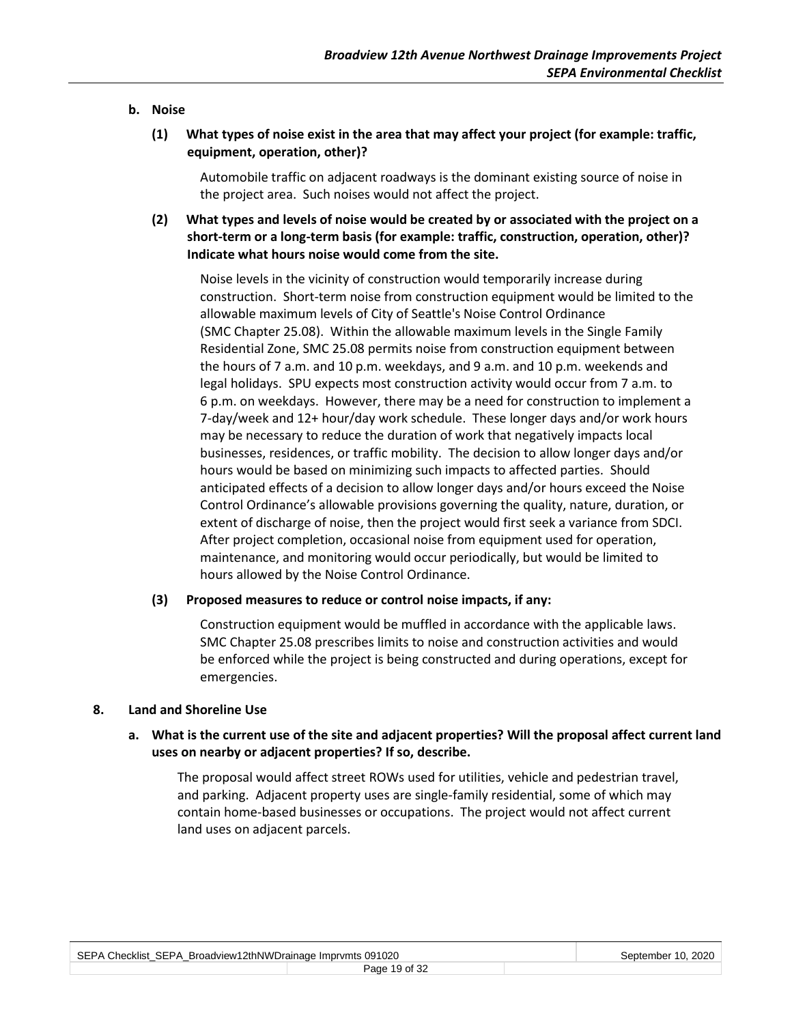#### **b. Noise**

**(1) What types of noise exist in the area that may affect your project (for example: traffic, equipment, operation, other)?**

Automobile traffic on adjacent roadways is the dominant existing source of noise in the project area. Such noises would not affect the project.

**(2) What types and levels of noise would be created by or associated with the project on a short-term or a long-term basis (for example: traffic, construction, operation, other)? Indicate what hours noise would come from the site.**

Noise levels in the vicinity of construction would temporarily increase during construction. Short-term noise from construction equipment would be limited to the allowable maximum levels of City of Seattle's Noise Control Ordinance (SMC Chapter 25.08). Within the allowable maximum levels in the Single Family Residential Zone, SMC 25.08 permits noise from construction equipment between the hours of 7 a.m. and 10 p.m. weekdays, and 9 a.m. and 10 p.m. weekends and legal holidays. SPU expects most construction activity would occur from 7 a.m. to 6 p.m. on weekdays. However, there may be a need for construction to implement a 7-day/week and 12+ hour/day work schedule. These longer days and/or work hours may be necessary to reduce the duration of work that negatively impacts local businesses, residences, or traffic mobility. The decision to allow longer days and/or hours would be based on minimizing such impacts to affected parties. Should anticipated effects of a decision to allow longer days and/or hours exceed the Noise Control Ordinance's allowable provisions governing the quality, nature, duration, or extent of discharge of noise, then the project would first seek a variance from SDCI. After project completion, occasional noise from equipment used for operation, maintenance, and monitoring would occur periodically, but would be limited to hours allowed by the Noise Control Ordinance.

#### **(3) Proposed measures to reduce or control noise impacts, if any:**

Construction equipment would be muffled in accordance with the applicable laws. SMC Chapter 25.08 prescribes limits to noise and construction activities and would be enforced while the project is being constructed and during operations, except for emergencies.

#### **8. Land and Shoreline Use**

## **a. What is the current use of the site and adjacent properties? Will the proposal affect current land uses on nearby or adjacent properties? If so, describe.**

The proposal would affect street ROWs used for utilities, vehicle and pedestrian travel, and parking. Adjacent property uses are single-family residential, some of which may contain home-based businesses or occupations. The project would not affect current land uses on adjacent parcels.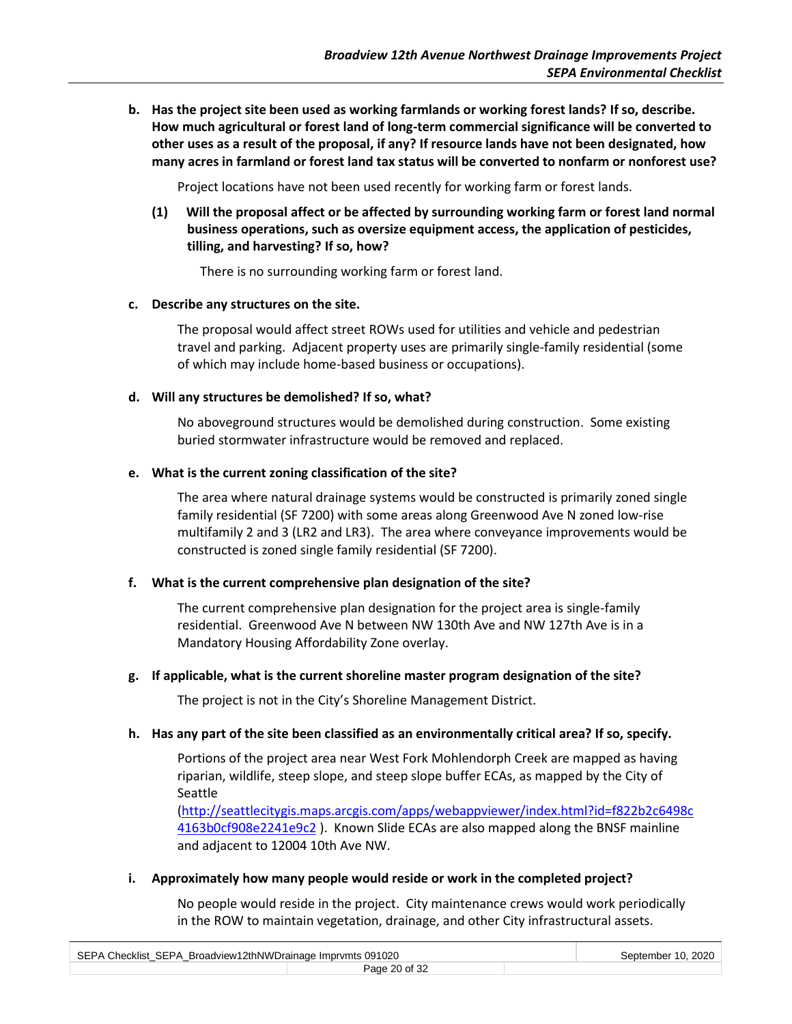**b. Has the project site been used as working farmlands or working forest lands? If so, describe. How much agricultural or forest land of long-term commercial significance will be converted to other uses as a result of the proposal, if any? If resource lands have not been designated, how many acres in farmland or forest land tax status will be converted to nonfarm or nonforest use?**

Project locations have not been used recently for working farm or forest lands.

**(1) Will the proposal affect or be affected by surrounding working farm or forest land normal business operations, such as oversize equipment access, the application of pesticides, tilling, and harvesting? If so, how?**

There is no surrounding working farm or forest land.

#### **c. Describe any structures on the site.**

The proposal would affect street ROWs used for utilities and vehicle and pedestrian travel and parking. Adjacent property uses are primarily single-family residential (some of which may include home-based business or occupations).

#### **d. Will any structures be demolished? If so, what?**

No aboveground structures would be demolished during construction. Some existing buried stormwater infrastructure would be removed and replaced.

#### **e. What is the current zoning classification of the site?**

The area where natural drainage systems would be constructed is primarily zoned single family residential (SF 7200) with some areas along Greenwood Ave N zoned low-rise multifamily 2 and 3 (LR2 and LR3). The area where conveyance improvements would be constructed is zoned single family residential (SF 7200).

#### **f. What is the current comprehensive plan designation of the site?**

The current comprehensive plan designation for the project area is single-family residential. Greenwood Ave N between NW 130th Ave and NW 127th Ave is in a Mandatory Housing Affordability Zone overlay.

#### **g. If applicable, what is the current shoreline master program designation of the site?**

The project is not in the City's Shoreline Management District.

#### **h. Has any part of the site been classified as an environmentally critical area? If so, specify.**

Portions of the project area near West Fork Mohlendorph Creek are mapped as having riparian, wildlife, steep slope, and steep slope buffer ECAs, as mapped by the City of Seattle

[\(http://seattlecitygis.maps.arcgis.com/apps/webappviewer/index.html?id=f822b2c6498c](http://seattlecitygis.maps.arcgis.com/apps/webappviewer/index.html?id=f822b2c6498c4163b0cf908e2241e9c2) [4163b0cf908e2241e9c2](http://seattlecitygis.maps.arcgis.com/apps/webappviewer/index.html?id=f822b2c6498c4163b0cf908e2241e9c2) ). Known Slide ECAs are also mapped along the BNSF mainline and adjacent to 12004 10th Ave NW.

**i. Approximately how many people would reside or work in the completed project?**

No people would reside in the project. City maintenance crews would work periodically in the ROW to maintain vegetation, drainage, and other City infrastructural assets.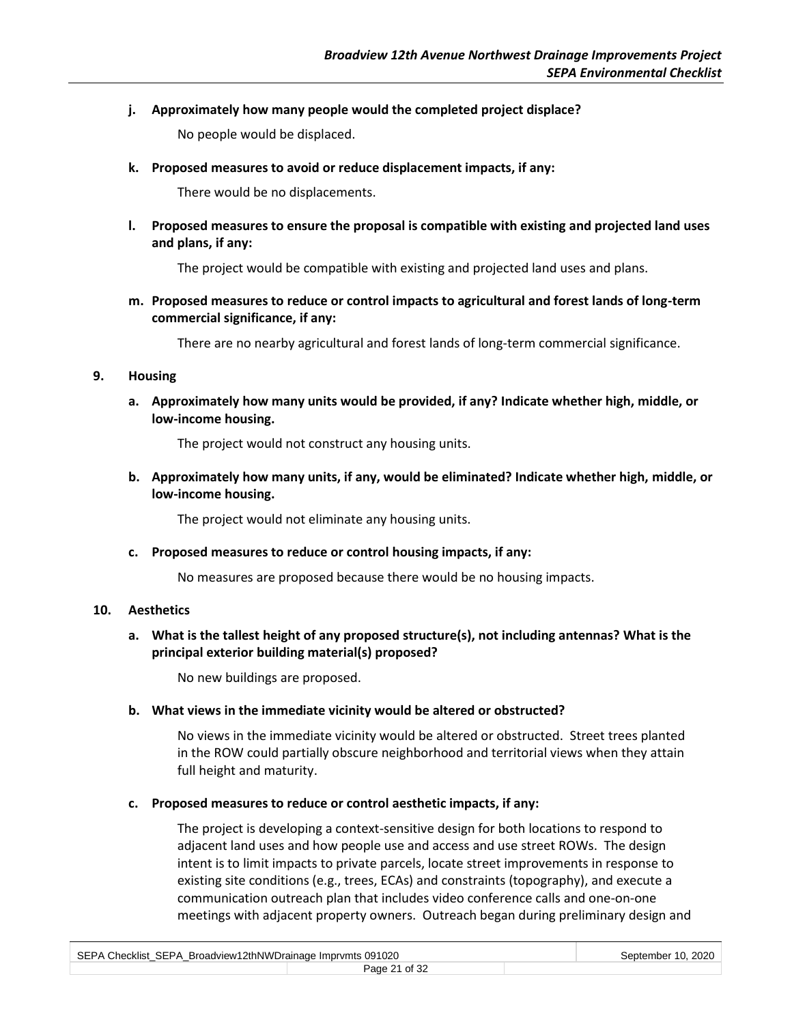**j. Approximately how many people would the completed project displace?**

No people would be displaced.

**k. Proposed measures to avoid or reduce displacement impacts, if any:**

There would be no displacements.

**l. Proposed measures to ensure the proposal is compatible with existing and projected land uses and plans, if any:**

The project would be compatible with existing and projected land uses and plans.

**m. Proposed measures to reduce or control impacts to agricultural and forest lands of long-term commercial significance, if any:**

There are no nearby agricultural and forest lands of long-term commercial significance.

#### **9. Housing**

**a. Approximately how many units would be provided, if any? Indicate whether high, middle, or low-income housing.**

The project would not construct any housing units.

**b. Approximately how many units, if any, would be eliminated? Indicate whether high, middle, or low-income housing.**

The project would not eliminate any housing units.

**c. Proposed measures to reduce or control housing impacts, if any:**

No measures are proposed because there would be no housing impacts.

## **10. Aesthetics**

**a. What is the tallest height of any proposed structure(s), not including antennas? What is the principal exterior building material(s) proposed?**

No new buildings are proposed.

## **b. What views in the immediate vicinity would be altered or obstructed?**

No views in the immediate vicinity would be altered or obstructed. Street trees planted in the ROW could partially obscure neighborhood and territorial views when they attain full height and maturity.

## **c. Proposed measures to reduce or control aesthetic impacts, if any:**

The project is developing a context-sensitive design for both locations to respond to adjacent land uses and how people use and access and use street ROWs. The design intent is to limit impacts to private parcels, locate street improvements in response to existing site conditions (e.g., trees, ECAs) and constraints (topography), and execute a communication outreach plan that includes video conference calls and one-on-one meetings with adjacent property owners. Outreach began during preliminary design and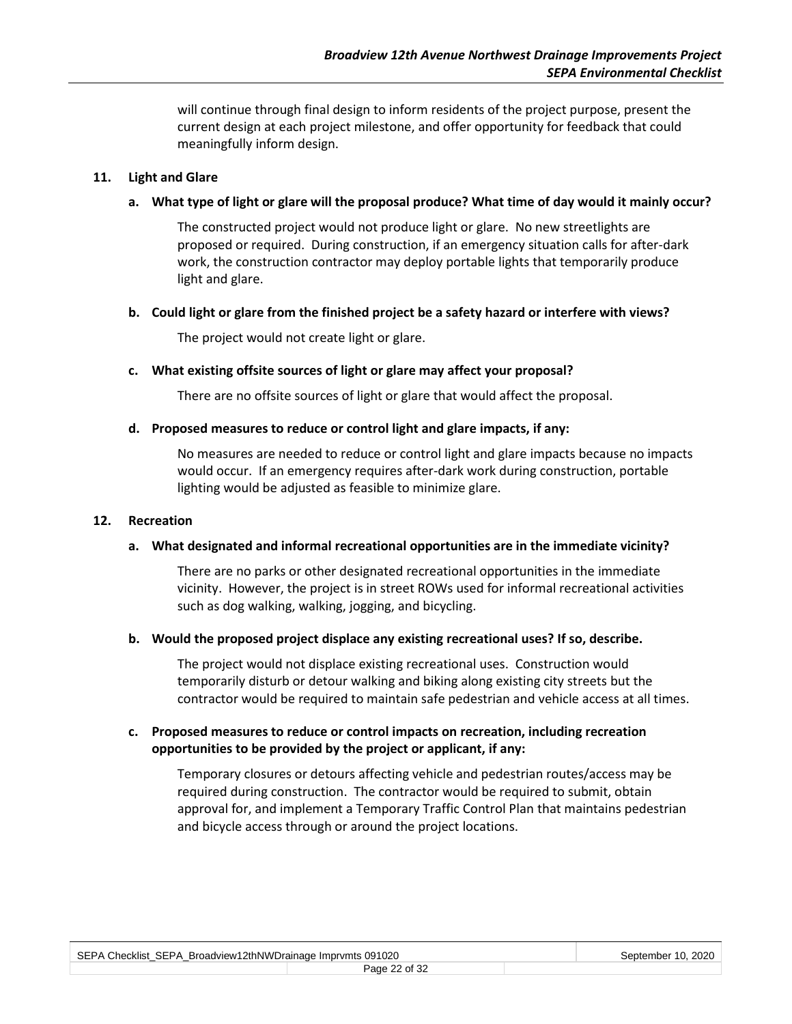will continue through final design to inform residents of the project purpose, present the current design at each project milestone, and offer opportunity for feedback that could meaningfully inform design.

#### **11. Light and Glare**

#### **a. What type of light or glare will the proposal produce? What time of day would it mainly occur?**

The constructed project would not produce light or glare. No new streetlights are proposed or required. During construction, if an emergency situation calls for after-dark work, the construction contractor may deploy portable lights that temporarily produce light and glare.

#### **b. Could light or glare from the finished project be a safety hazard or interfere with views?**

The project would not create light or glare.

#### **c. What existing offsite sources of light or glare may affect your proposal?**

There are no offsite sources of light or glare that would affect the proposal.

#### **d. Proposed measures to reduce or control light and glare impacts, if any:**

No measures are needed to reduce or control light and glare impacts because no impacts would occur. If an emergency requires after-dark work during construction, portable lighting would be adjusted as feasible to minimize glare.

#### **12. Recreation**

#### **a. What designated and informal recreational opportunities are in the immediate vicinity?**

There are no parks or other designated recreational opportunities in the immediate vicinity. However, the project is in street ROWs used for informal recreational activities such as dog walking, walking, jogging, and bicycling.

#### **b. Would the proposed project displace any existing recreational uses? If so, describe.**

The project would not displace existing recreational uses. Construction would temporarily disturb or detour walking and biking along existing city streets but the contractor would be required to maintain safe pedestrian and vehicle access at all times.

#### **c. Proposed measures to reduce or control impacts on recreation, including recreation opportunities to be provided by the project or applicant, if any:**

Temporary closures or detours affecting vehicle and pedestrian routes/access may be required during construction. The contractor would be required to submit, obtain approval for, and implement a Temporary Traffic Control Plan that maintains pedestrian and bicycle access through or around the project locations.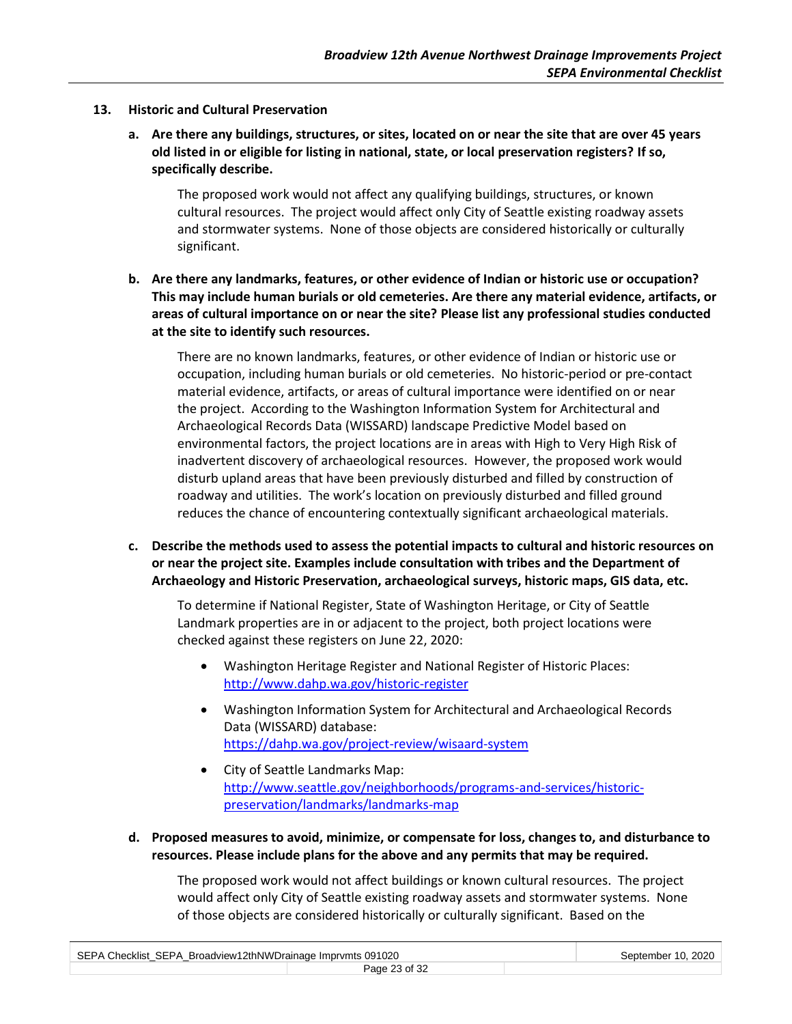- **13. Historic and Cultural Preservation**
	- **a. Are there any buildings, structures, or sites, located on or near the site that are over 45 years old listed in or eligible for listing in national, state, or local preservation registers? If so, specifically describe.**

The proposed work would not affect any qualifying buildings, structures, or known cultural resources. The project would affect only City of Seattle existing roadway assets and stormwater systems. None of those objects are considered historically or culturally significant.

**b. Are there any landmarks, features, or other evidence of Indian or historic use or occupation? This may include human burials or old cemeteries. Are there any material evidence, artifacts, or areas of cultural importance on or near the site? Please list any professional studies conducted at the site to identify such resources.**

There are no known landmarks, features, or other evidence of Indian or historic use or occupation, including human burials or old cemeteries. No historic-period or pre-contact material evidence, artifacts, or areas of cultural importance were identified on or near the project. According to the Washington Information System for Architectural and Archaeological Records Data (WISSARD) landscape Predictive Model based on environmental factors, the project locations are in areas with High to Very High Risk of inadvertent discovery of archaeological resources. However, the proposed work would disturb upland areas that have been previously disturbed and filled by construction of roadway and utilities. The work's location on previously disturbed and filled ground reduces the chance of encountering contextually significant archaeological materials.

**c. Describe the methods used to assess the potential impacts to cultural and historic resources on or near the project site. Examples include consultation with tribes and the Department of Archaeology and Historic Preservation, archaeological surveys, historic maps, GIS data, etc.**

To determine if National Register, State of Washington Heritage, or City of Seattle Landmark properties are in or adjacent to the project, both project locations were checked against these registers on June 22, 2020:

- Washington Heritage Register and National Register of Historic Places: <http://www.dahp.wa.gov/historic-register>
- Washington Information System for Architectural and Archaeological Records Data (WISSARD) database: <https://dahp.wa.gov/project-review/wisaard-system>
- City of Seattle Landmarks Map: [http://www.seattle.gov/neighborhoods/programs-and-services/historic](http://www.seattle.gov/neighborhoods/programs-and-services/historic-preservation/landmarks/landmarks-map)[preservation/landmarks/landmarks-map](http://www.seattle.gov/neighborhoods/programs-and-services/historic-preservation/landmarks/landmarks-map)
- **d. Proposed measures to avoid, minimize, or compensate for loss, changes to, and disturbance to resources. Please include plans for the above and any permits that may be required.**

The proposed work would not affect buildings or known cultural resources. The project would affect only City of Seattle existing roadway assets and stormwater systems. None of those objects are considered historically or culturally significant. Based on the

| SEPA Checklist SEPA Broadview12thNWDrainage Imprymts 091020 | September 10, 2020 |  |
|-------------------------------------------------------------|--------------------|--|
|                                                             | Page 23 of 32      |  |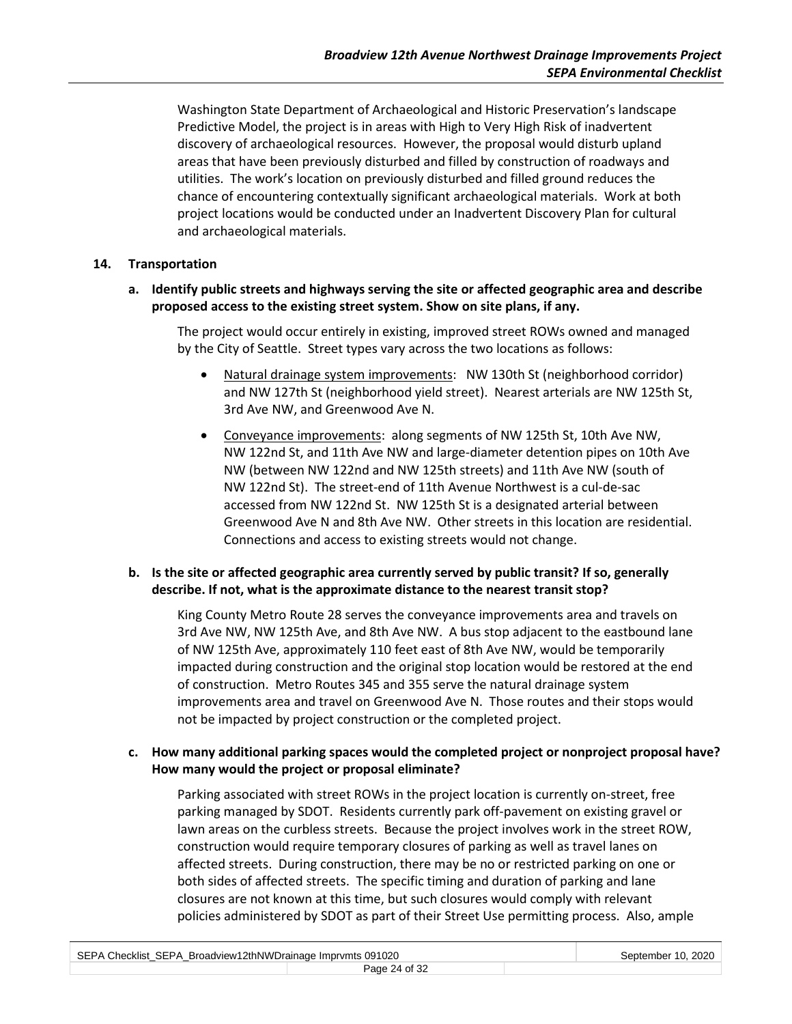Washington State Department of Archaeological and Historic Preservation's landscape Predictive Model, the project is in areas with High to Very High Risk of inadvertent discovery of archaeological resources. However, the proposal would disturb upland areas that have been previously disturbed and filled by construction of roadways and utilities. The work's location on previously disturbed and filled ground reduces the chance of encountering contextually significant archaeological materials. Work at both project locations would be conducted under an Inadvertent Discovery Plan for cultural and archaeological materials.

#### **14. Transportation**

**a. Identify public streets and highways serving the site or affected geographic area and describe proposed access to the existing street system. Show on site plans, if any.**

The project would occur entirely in existing, improved street ROWs owned and managed by the City of Seattle. Street types vary across the two locations as follows:

- Natural drainage system improvements: NW 130th St (neighborhood corridor) and NW 127th St (neighborhood yield street). Nearest arterials are NW 125th St, 3rd Ave NW, and Greenwood Ave N.
- Conveyance improvements: along segments of NW 125th St, 10th Ave NW, NW 122nd St, and 11th Ave NW and large-diameter detention pipes on 10th Ave NW (between NW 122nd and NW 125th streets) and 11th Ave NW (south of NW 122nd St). The street-end of 11th Avenue Northwest is a cul-de-sac accessed from NW 122nd St. NW 125th St is a designated arterial between Greenwood Ave N and 8th Ave NW. Other streets in this location are residential. Connections and access to existing streets would not change.

## **b. Is the site or affected geographic area currently served by public transit? If so, generally describe. If not, what is the approximate distance to the nearest transit stop?**

King County Metro Route 28 serves the conveyance improvements area and travels on 3rd Ave NW, NW 125th Ave, and 8th Ave NW. A bus stop adjacent to the eastbound lane of NW 125th Ave, approximately 110 feet east of 8th Ave NW, would be temporarily impacted during construction and the original stop location would be restored at the end of construction. Metro Routes 345 and 355 serve the natural drainage system improvements area and travel on Greenwood Ave N. Those routes and their stops would not be impacted by project construction or the completed project.

**c. How many additional parking spaces would the completed project or nonproject proposal have? How many would the project or proposal eliminate?**

Parking associated with street ROWs in the project location is currently on-street, free parking managed by SDOT. Residents currently park off-pavement on existing gravel or lawn areas on the curbless streets. Because the project involves work in the street ROW, construction would require temporary closures of parking as well as travel lanes on affected streets. During construction, there may be no or restricted parking on one or both sides of affected streets. The specific timing and duration of parking and lane closures are not known at this time, but such closures would comply with relevant policies administered by SDOT as part of their Street Use permitting process. Also, ample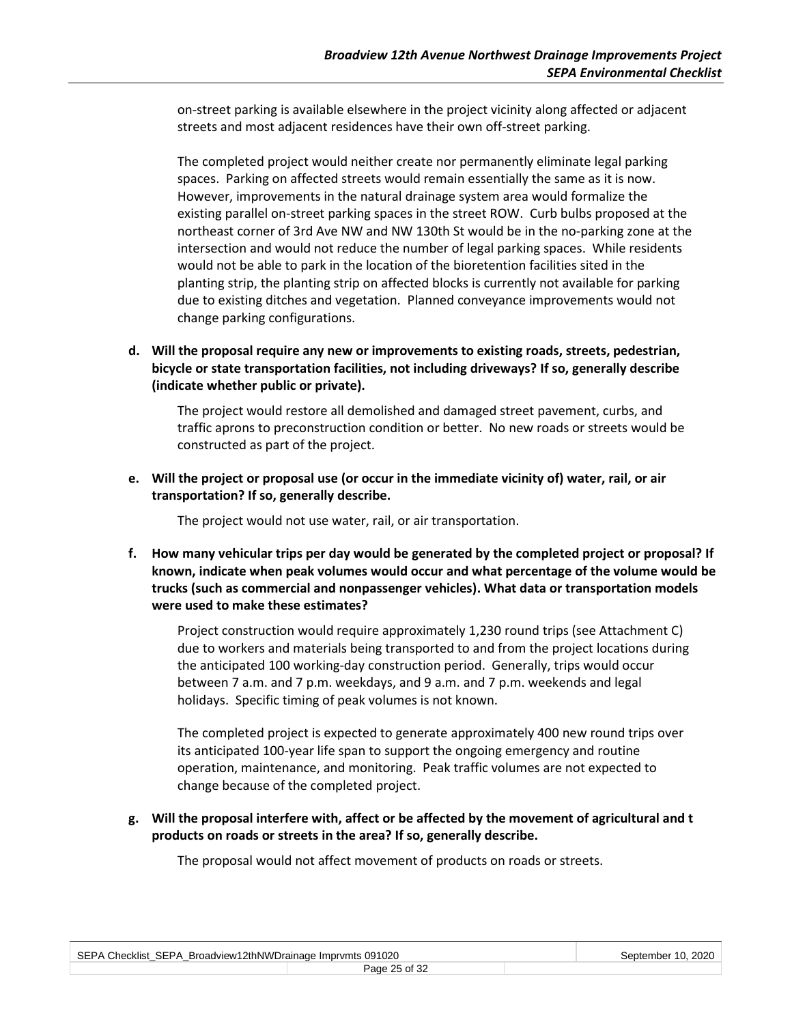on-street parking is available elsewhere in the project vicinity along affected or adjacent streets and most adjacent residences have their own off-street parking.

The completed project would neither create nor permanently eliminate legal parking spaces. Parking on affected streets would remain essentially the same as it is now. However, improvements in the natural drainage system area would formalize the existing parallel on-street parking spaces in the street ROW. Curb bulbs proposed at the northeast corner of 3rd Ave NW and NW 130th St would be in the no-parking zone at the intersection and would not reduce the number of legal parking spaces. While residents would not be able to park in the location of the bioretention facilities sited in the planting strip, the planting strip on affected blocks is currently not available for parking due to existing ditches and vegetation. Planned conveyance improvements would not change parking configurations.

**d. Will the proposal require any new or improvements to existing roads, streets, pedestrian, bicycle or state transportation facilities, not including driveways? If so, generally describe (indicate whether public or private).**

The project would restore all demolished and damaged street pavement, curbs, and traffic aprons to preconstruction condition or better. No new roads or streets would be constructed as part of the project.

**e. Will the project or proposal use (or occur in the immediate vicinity of) water, rail, or air transportation? If so, generally describe.**

The project would not use water, rail, or air transportation.

**f. How many vehicular trips per day would be generated by the completed project or proposal? If known, indicate when peak volumes would occur and what percentage of the volume would be trucks (such as commercial and nonpassenger vehicles). What data or transportation models were used to make these estimates?**

Project construction would require approximately 1,230 round trips (see Attachment C) due to workers and materials being transported to and from the project locations during the anticipated 100 working-day construction period. Generally, trips would occur between 7 a.m. and 7 p.m. weekdays, and 9 a.m. and 7 p.m. weekends and legal holidays. Specific timing of peak volumes is not known.

The completed project is expected to generate approximately 400 new round trips over its anticipated 100-year life span to support the ongoing emergency and routine operation, maintenance, and monitoring. Peak traffic volumes are not expected to change because of the completed project.

**g. Will the proposal interfere with, affect or be affected by the movement of agricultural and t products on roads or streets in the area? If so, generally describe.**

The proposal would not affect movement of products on roads or streets.

| SEPA Checklist_SEPA_Broadview12thNWDrainage Imprvmts 091020 |  | September 10, 2020 |
|-------------------------------------------------------------|--|--------------------|
|                                                             |  |                    |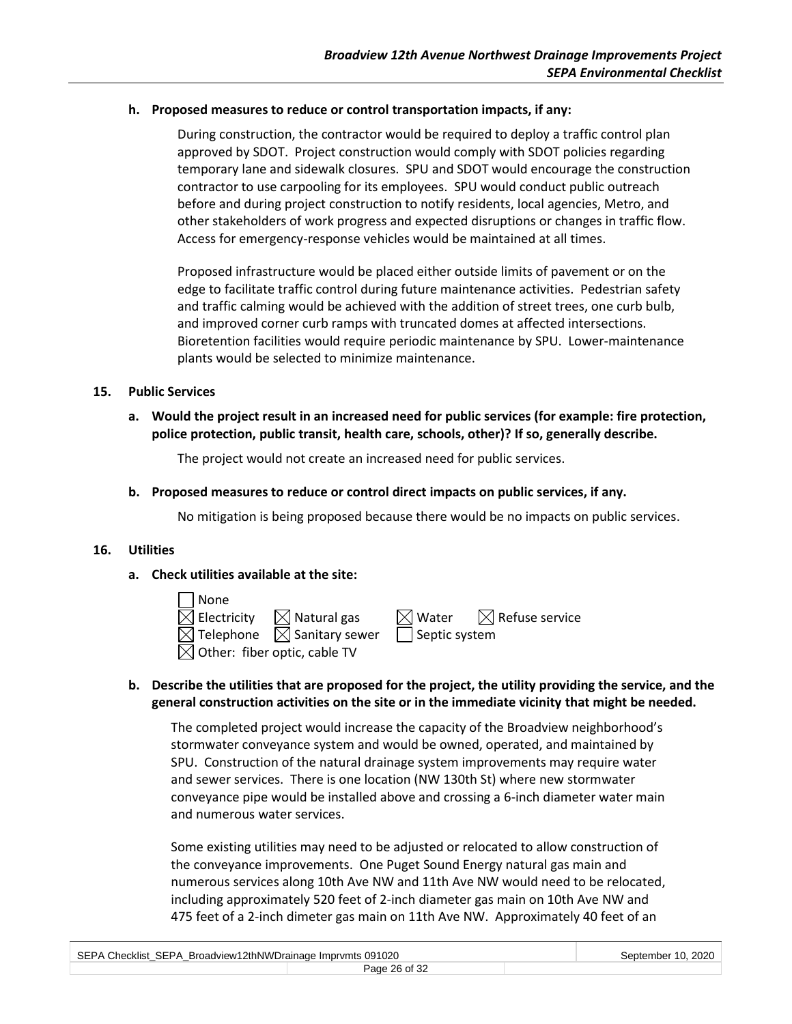#### **h. Proposed measures to reduce or control transportation impacts, if any:**

During construction, the contractor would be required to deploy a traffic control plan approved by SDOT. Project construction would comply with SDOT policies regarding temporary lane and sidewalk closures. SPU and SDOT would encourage the construction contractor to use carpooling for its employees. SPU would conduct public outreach before and during project construction to notify residents, local agencies, Metro, and other stakeholders of work progress and expected disruptions or changes in traffic flow. Access for emergency-response vehicles would be maintained at all times.

Proposed infrastructure would be placed either outside limits of pavement or on the edge to facilitate traffic control during future maintenance activities. Pedestrian safety and traffic calming would be achieved with the addition of street trees, one curb bulb, and improved corner curb ramps with truncated domes at affected intersections. Bioretention facilities would require periodic maintenance by SPU. Lower-maintenance plants would be selected to minimize maintenance.

#### **15. Public Services**

**a. Would the project result in an increased need for public services (for example: fire protection, police protection, public transit, health care, schools, other)? If so, generally describe.**

The project would not create an increased need for public services.

**b. Proposed measures to reduce or control direct impacts on public services, if any.**

No mitigation is being proposed because there would be no impacts on public services.

#### **16. Utilities**

## **a. Check utilities available at the site:**

| None                                     |                                                  |                      |                                              |
|------------------------------------------|--------------------------------------------------|----------------------|----------------------------------------------|
|                                          | $\boxtimes$ Electricity $\boxtimes$ Natural gas  |                      | $\boxtimes$ Water $\boxtimes$ Refuse service |
|                                          | $\boxtimes$ Telephone $\boxtimes$ Sanitary sewer | $\Box$ Septic system |                                              |
| $\boxtimes$ Other: fiber optic, cable TV |                                                  |                      |                                              |

## **b. Describe the utilities that are proposed for the project, the utility providing the service, and the general construction activities on the site or in the immediate vicinity that might be needed.**

The completed project would increase the capacity of the Broadview neighborhood's stormwater conveyance system and would be owned, operated, and maintained by SPU. Construction of the natural drainage system improvements may require water and sewer services. There is one location (NW 130th St) where new stormwater conveyance pipe would be installed above and crossing a 6-inch diameter water main and numerous water services.

Some existing utilities may need to be adjusted or relocated to allow construction of the conveyance improvements. One Puget Sound Energy natural gas main and numerous services along 10th Ave NW and 11th Ave NW would need to be relocated, including approximately 520 feet of 2-inch diameter gas main on 10th Ave NW and 475 feet of a 2-inch dimeter gas main on 11th Ave NW. Approximately 40 feet of an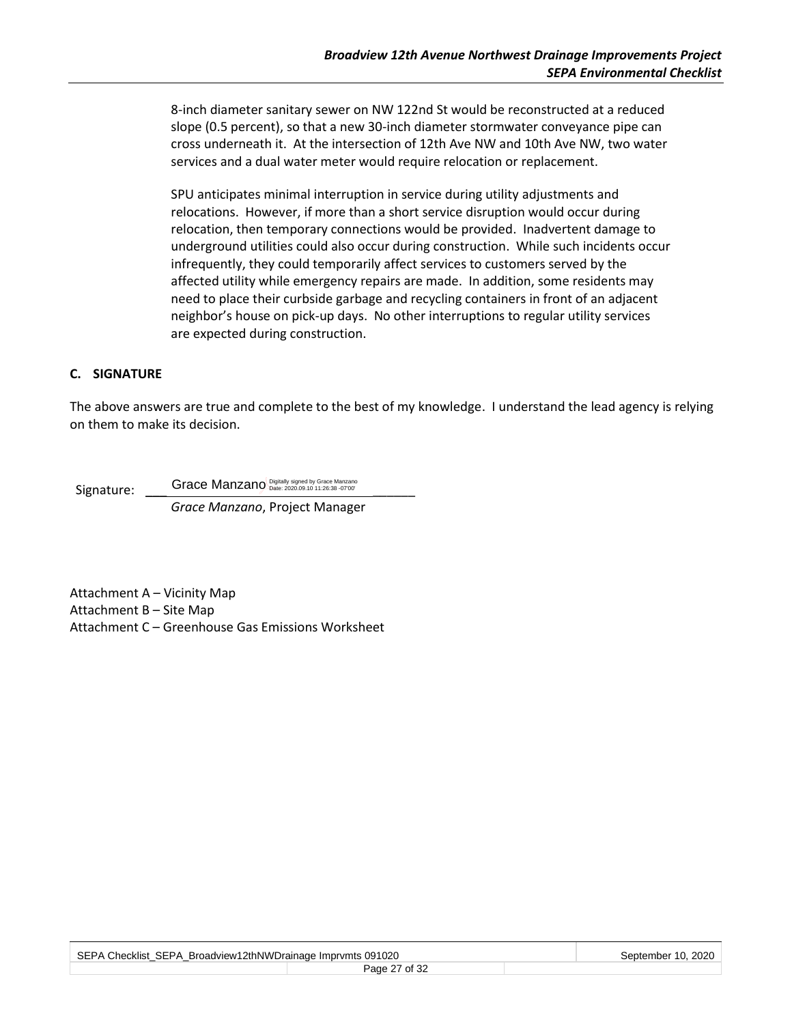8-inch diameter sanitary sewer on NW 122nd St would be reconstructed at a reduced slope (0.5 percent), so that a new 30-inch diameter stormwater conveyance pipe can cross underneath it. At the intersection of 12th Ave NW and 10th Ave NW, two water services and a dual water meter would require relocation or replacement.

SPU anticipates minimal interruption in service during utility adjustments and relocations. However, if more than a short service disruption would occur during relocation, then temporary connections would be provided. Inadvertent damage to underground utilities could also occur during construction. While such incidents occur infrequently, they could temporarily affect services to customers served by the affected utility while emergency repairs are made. In addition, some residents may need to place their curbside garbage and recycling containers in front of an adjacent neighbor's house on pick-up days. No other interruptions to regular utility services are expected during construction.

#### **C. SIGNATURE**

The above answers are true and complete to the best of my knowledge. I understand the lead agency is relying on them to make its decision.

Signature: Crace Manzano Digitally signed by Grace Manzano (Capital Article 3820.09.10 11:26:38 -07'00'

*Grace Manzano*, Project Manager

Attachment A – Vicinity Map Attachment B – Site Map Attachment C – Greenhouse Gas Emissions Worksheet

| SEPA Checklist_SEPA_Broadview12thNWDrainage Imprvmts 091020 |               | September 10, 2020 |  |
|-------------------------------------------------------------|---------------|--------------------|--|
|                                                             | Page 27 of 32 |                    |  |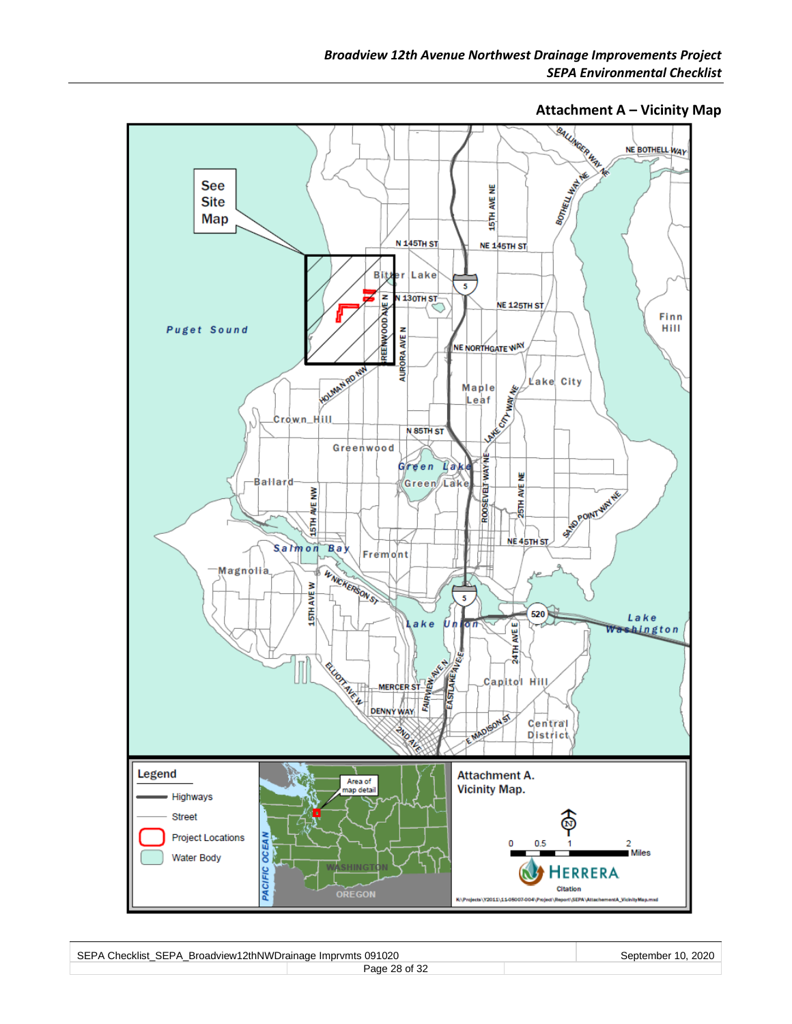**Attachment A – Vicinity Map**<br> **ALL AND READ ME BOTHELL WAY** NE BOTHELL WAY BOTHELL HATCH ŵ See 15TH AVE NE **Site Map N 145TH ST NE 145TH ST** Bitt Lake e r  $\overline{\mathbf{5}}$ REENWOOD AVE N **N 130TH ST** NE 125TH ST Finn Puget Sound Hill **NURORA AVE N** NE NORTHGATE WAY HOLMAN RD NW Lake City **WAY NEW** Maple  $Leaf$ **EST** Crown\_Hill N 85TH ST Greenwood ROOSEVELT WAY NE Green Lake ₩ Green Lake Ballard SEPOINT WATER 25TH AVE ξ AVE HL97 NE 45TH ST Salmon  $B$ ay Fremont WWCKERSON ST Magnolia **STHAVEW**  $\overline{\phantom{a}}$  $520$ Lake **AVEE** ake Un or Washington EASTLANE AVERE 24TH MERCER STREET RELIGIT ALCO Capitol Hill **DENNY WAY RS** Central **PND RE MAD District** Legend Attachment A. Area of<br>map detail **Vicinity Map.** Highways Street **Project Locations OCEAN**  $0.5$  $\overline{2}$ Miles Water Body PACIFIC **HERRERA** Citation **OREGON** ort\SEPA K:\Projects\Y2011\11-05007-004\Pr

| SEPA Checklist SEPA Broadview12thNWDrainage Imprymts 091020 |               | September 10, 2020 |  |
|-------------------------------------------------------------|---------------|--------------------|--|
|                                                             | Page 28 of 32 |                    |  |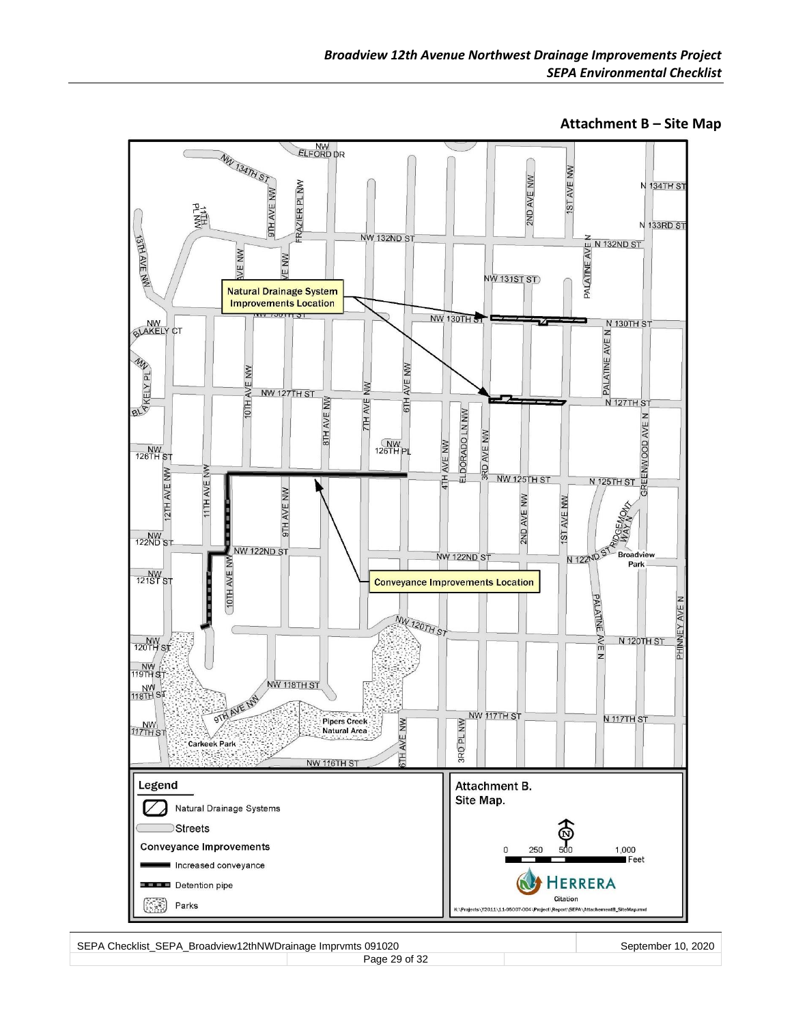

**Attachment B – Site Map**

SEPA Checklist\_SEPA\_Broadview12thNWDrainage Imprvmts 091020 September 10, 2020 September 10, 2020 Page 29 of 32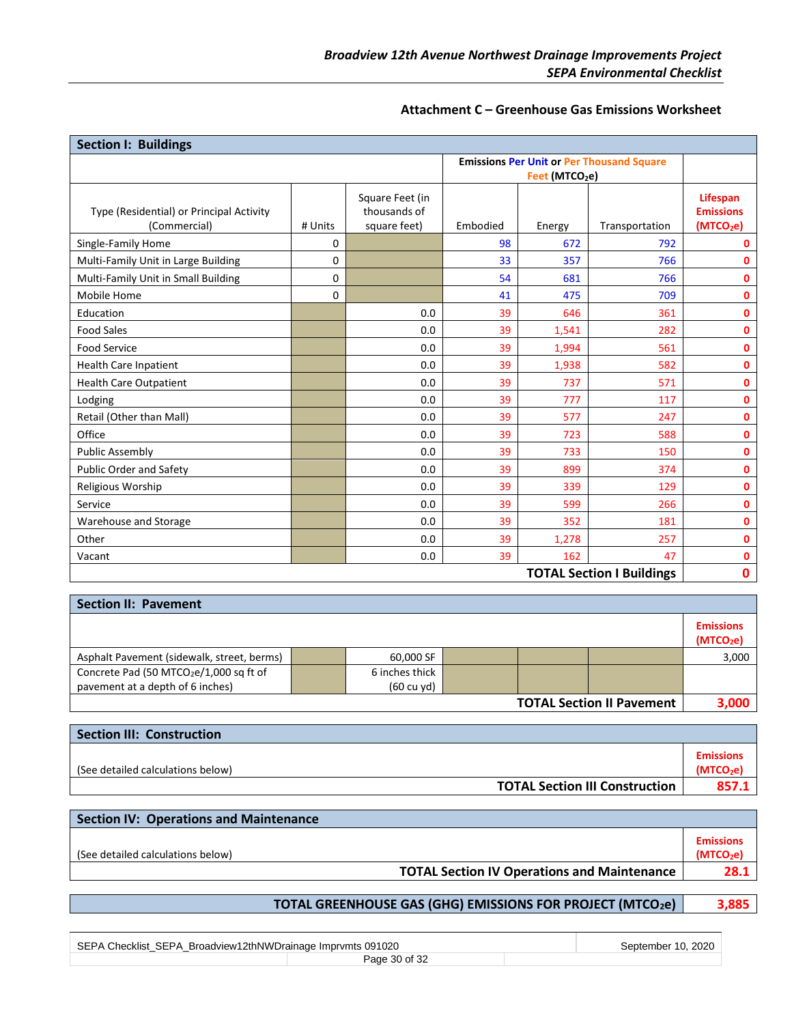#### **Attachment C – Greenhouse Gas Emissions Worksheet**

| <b>Section I: Buildings</b>                              |          |                              |          |                            |                                                  |                                           |
|----------------------------------------------------------|----------|------------------------------|----------|----------------------------|--------------------------------------------------|-------------------------------------------|
|                                                          |          |                              |          |                            | <b>Emissions Per Unit or Per Thousand Square</b> |                                           |
|                                                          |          |                              |          | Feet (MTCO <sub>2</sub> e) |                                                  |                                           |
|                                                          |          | Square Feet (in              |          |                            |                                                  | Lifespan                                  |
| Type (Residential) or Principal Activity<br>(Commercial) | # Units  | thousands of<br>square feet) | Embodied | Energy                     | Transportation                                   | <b>Emissions</b><br>(MTCO <sub>2</sub> e) |
| Single-Family Home                                       | 0        |                              | 98       | 672                        | 792                                              | 0                                         |
| Multi-Family Unit in Large Building                      | 0        |                              | 33       | 357                        | 766                                              | 0                                         |
| Multi-Family Unit in Small Building                      | 0        |                              | 54       | 681                        | 766                                              | 0                                         |
| <b>Mobile Home</b>                                       | $\Omega$ |                              | 41       | 475                        | 709                                              | 0                                         |
| Education                                                |          | 0.0                          | 39       | 646                        | 361                                              | 0                                         |
| <b>Food Sales</b>                                        |          | 0.0                          | 39       | 1,541                      | 282                                              | 0                                         |
| <b>Food Service</b>                                      |          | 0.0                          | 39       | 1,994                      | 561                                              | $\mathbf{0}$                              |
| Health Care Inpatient                                    |          | 0.0                          | 39       | 1,938                      | 582                                              | $\mathbf{0}$                              |
| <b>Health Care Outpatient</b>                            |          | 0.0                          | 39       | 737                        | 571                                              | $\mathbf{0}$                              |
| Lodging                                                  |          | 0.0                          | 39       | 777                        | 117                                              | 0                                         |
| Retail (Other than Mall)                                 |          | 0.0                          | 39       | 577                        | 247                                              | 0                                         |
| Office                                                   |          | 0.0                          | 39       | 723                        | 588                                              | 0                                         |
| <b>Public Assembly</b>                                   |          | 0.0                          | 39       | 733                        | 150                                              | 0                                         |
| <b>Public Order and Safety</b>                           |          | 0.0                          | 39       | 899                        | 374                                              | $\mathbf{0}$                              |
| Religious Worship                                        |          | 0.0                          | 39       | 339                        | 129                                              | 0                                         |
| Service                                                  |          | 0.0                          | 39       | 599                        | 266                                              | 0                                         |
| Warehouse and Storage                                    |          | 0.0                          | 39       | 352                        | 181                                              | 0                                         |
| Other                                                    |          | 0.0                          | 39       | 1,278                      | 257                                              | 0                                         |
| Vacant                                                   |          | 0.0                          | 39       | 162                        | 47                                               | 0                                         |
| <b>TOTAL Section I Buildings</b>                         |          |                              |          |                            | 0                                                |                                           |

| <b>Section II: Pavement</b>                         |                |  |                                  |                                           |
|-----------------------------------------------------|----------------|--|----------------------------------|-------------------------------------------|
|                                                     |                |  |                                  | <b>Emissions</b><br>(MTCO <sub>2</sub> e) |
| Asphalt Pavement (sidewalk, street, berms)          | 60,000 SF      |  |                                  | 3,000                                     |
| Concrete Pad (50 MTCO <sub>2</sub> e/1,000 sq ft of | 6 inches thick |  |                                  |                                           |
| pavement at a depth of 6 inches)                    | (60 cu yd)     |  |                                  |                                           |
|                                                     |                |  | <b>TOTAL Section II Pavement</b> | 3.000                                     |

| <b>Section III: Construction</b>      |                                           |
|---------------------------------------|-------------------------------------------|
| (See detailed calculations below)     | <b>Emissions</b><br>(MTCO <sub>2</sub> e) |
| <b>TOTAL Section III Construction</b> | 857.1                                     |

| <b>Section IV: Operations and Maintenance</b>      |                                           |
|----------------------------------------------------|-------------------------------------------|
| (See detailed calculations below)                  | <b>Emissions</b><br>(MTCO <sub>2</sub> e) |
| <b>TOTAL Section IV Operations and Maintenance</b> | 28.1                                      |
|                                                    |                                           |

# **TOTAL GREENHOUSE GAS (GHG) EMISSIONS FOR PROJECT (MTCO2e) 3,885**

| SEPA Checklist SEPA Broadview12thNWDrainage Imprymts 091020 |               |  | September 10, 2020 |
|-------------------------------------------------------------|---------------|--|--------------------|
|                                                             | Page 30 of 32 |  |                    |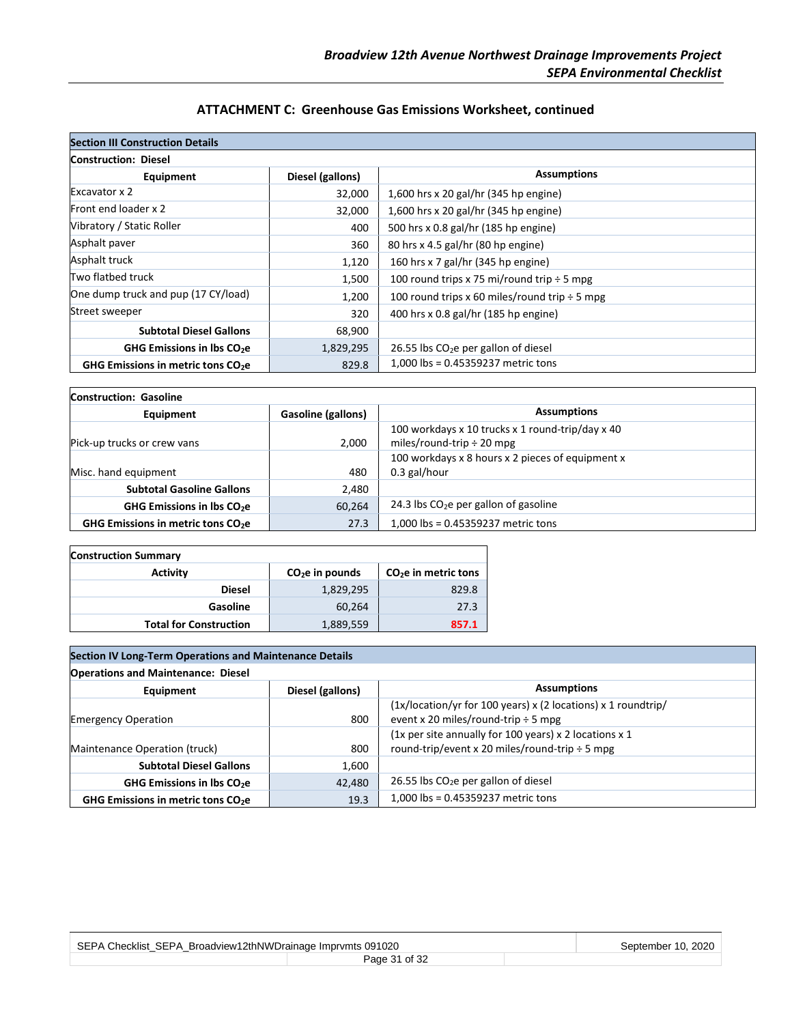# **ATTACHMENT C: Greenhouse Gas Emissions Worksheet, continued**

| <b>Section III Construction Details</b>             |                  |                                                    |
|-----------------------------------------------------|------------------|----------------------------------------------------|
| <b>Construction: Diesel</b>                         |                  |                                                    |
| Equipment                                           | Diesel (gallons) | <b>Assumptions</b>                                 |
| Excavator x 2                                       | 32,000           | 1,600 hrs x 20 gal/hr (345 hp engine)              |
| Front end loader x 2                                | 32,000           | 1,600 hrs x 20 gal/hr (345 hp engine)              |
| Vibratory / Static Roller                           | 400              | 500 hrs x 0.8 gal/hr (185 hp engine)               |
| Asphalt paver                                       | 360              | 80 hrs x 4.5 gal/hr (80 hp engine)                 |
| Asphalt truck                                       | 1,120            | 160 hrs x 7 gal/hr (345 hp engine)                 |
| Two flatbed truck                                   | 1,500            | 100 round trips x 75 mi/round trip $\div$ 5 mpg    |
| One dump truck and pup (17 CY/load)                 | 1,200            | 100 round trips x 60 miles/round trip $\div$ 5 mpg |
| Street sweeper                                      | 320              | 400 hrs x 0.8 gal/hr (185 hp engine)               |
| <b>Subtotal Diesel Gallons</b>                      | 68,900           |                                                    |
| <b>GHG Emissions in Ibs CO<sub>2</sub>e</b>         | 1,829,295        | 26.55 lbs CO <sub>2</sub> e per gallon of diesel   |
| <b>GHG Emissions in metric tons CO<sub>2</sub>e</b> | 829.8            | 1,000 lbs = 0.45359237 metric tons                 |

| <b>Construction: Gasoline</b>                  |                           |                                                                                    |  |
|------------------------------------------------|---------------------------|------------------------------------------------------------------------------------|--|
| Equipment                                      | <b>Gasoline (gallons)</b> | <b>Assumptions</b>                                                                 |  |
| Pick-up trucks or crew vans                    | 2,000                     | 100 workdays x 10 trucks x 1 round-trip/day x 40<br>miles/round-trip $\div$ 20 mpg |  |
|                                                |                           | 100 workdays x 8 hours x 2 pieces of equipment x                                   |  |
| Misc. hand equipment                           | 480                       | 0.3 gal/hour                                                                       |  |
| <b>Subtotal Gasoline Gallons</b>               | 2,480                     |                                                                                    |  |
| GHG Emissions in Ibs CO <sub>2</sub> e         | 60.264                    | 24.3 lbs $CO2e$ per gallon of gasoline                                             |  |
| GHG Emissions in metric tons CO <sub>2</sub> e | 27.3                      | 1,000 lbs = 0.45359237 metric tons                                                 |  |

| <b>Construction Summary</b>   |                  |                       |  |
|-------------------------------|------------------|-----------------------|--|
| <b>Activity</b>               | $CO2e$ in pounds | $CO2e$ in metric tons |  |
| <b>Diesel</b>                 | 1,829,295        | 829.8                 |  |
| Gasoline                      | 60.264           | 27.3                  |  |
| <b>Total for Construction</b> | 1,889,559        | 857.1                 |  |

| <b>Section IV Long-Term Operations and Maintenance Details</b> |                  |                                                                                                            |
|----------------------------------------------------------------|------------------|------------------------------------------------------------------------------------------------------------|
| <b>Operations and Maintenance: Diesel</b>                      |                  |                                                                                                            |
| Equipment                                                      | Diesel (gallons) | <b>Assumptions</b>                                                                                         |
| <b>Emergency Operation</b>                                     | 800              | $(x/location/yr$ for 100 years) x (2 locations) x 1 roundtrip/<br>event x 20 miles/round-trip $\div$ 5 mpg |
| Maintenance Operation (truck)                                  | 800              | (1x per site annually for 100 years) x 2 locations $x$ 1<br>round-trip/event x 20 miles/round-trip ÷ 5 mpg |
| <b>Subtotal Diesel Gallons</b>                                 | 1,600            |                                                                                                            |
| <b>GHG Emissions in Ibs CO<sub>2</sub>e</b>                    | 42,480           | 26.55 lbs $CO2e$ per gallon of diesel                                                                      |
| GHG Emissions in metric tons CO <sub>2</sub> e                 | 19.3             | 1,000 lbs = 0.45359237 metric tons                                                                         |

| SEPA Checklist SEPA Broadview12thNWDrainage Imprymts 091020 | September 10, 2020 |  |
|-------------------------------------------------------------|--------------------|--|
|                                                             | Page 31 of 32      |  |